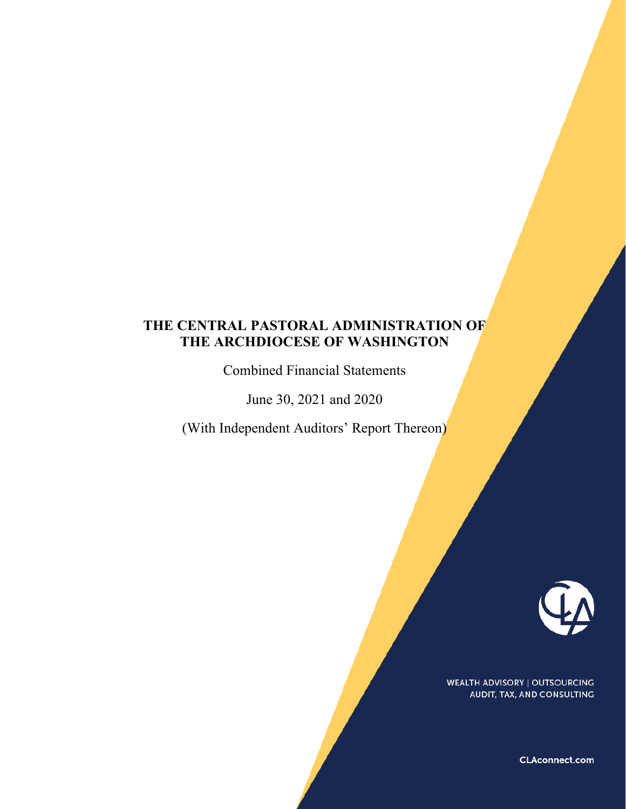Combined Financial Statements

June 30, 2021 and 2020

(With Independent Auditors' Report Thereon)



**WEALTH ADVISORY | OUTSOURCING** AUDIT, TAX, AND CONSULTING

**CLAconnect.com**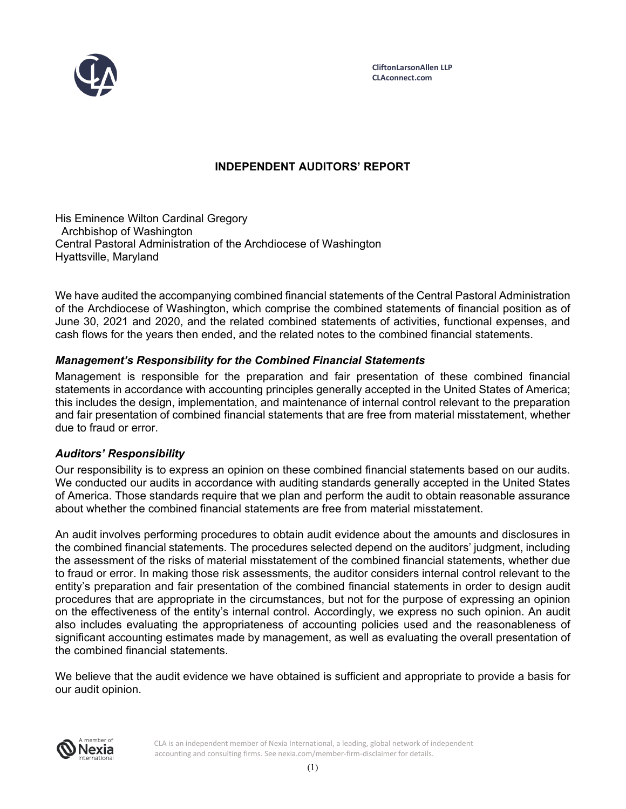

# **INDEPENDENT AUDITORS' REPORT**

His Eminence Wilton Cardinal Gregory Archbishop of Washington Central Pastoral Administration of the Archdiocese of Washington Hyattsville, Maryland

We have audited the accompanying combined financial statements of the Central Pastoral Administration of the Archdiocese of Washington, which comprise the combined statements of financial position as of June 30, 2021 and 2020, and the related combined statements of activities, functional expenses, and cash flows for the years then ended, and the related notes to the combined financial statements.

# *Management's Responsibility for the Combined Financial Statements*

Management is responsible for the preparation and fair presentation of these combined financial statements in accordance with accounting principles generally accepted in the United States of America; this includes the design, implementation, and maintenance of internal control relevant to the preparation and fair presentation of combined financial statements that are free from material misstatement, whether due to fraud or error.

# *Auditors' Responsibility*

Our responsibility is to express an opinion on these combined financial statements based on our audits. We conducted our audits in accordance with auditing standards generally accepted in the United States of America. Those standards require that we plan and perform the audit to obtain reasonable assurance about whether the combined financial statements are free from material misstatement.

An audit involves performing procedures to obtain audit evidence about the amounts and disclosures in the combined financial statements. The procedures selected depend on the auditors' judgment, including the assessment of the risks of material misstatement of the combined financial statements, whether due to fraud or error. In making those risk assessments, the auditor considers internal control relevant to the entity's preparation and fair presentation of the combined financial statements in order to design audit procedures that are appropriate in the circumstances, but not for the purpose of expressing an opinion on the effectiveness of the entity's internal control. Accordingly, we express no such opinion. An audit also includes evaluating the appropriateness of accounting policies used and the reasonableness of significant accounting estimates made by management, as well as evaluating the overall presentation of the combined financial statements.

We believe that the audit evidence we have obtained is sufficient and appropriate to provide a basis for our audit opinion.



CLA is an independent member of Nexia International, a leading, global network of independent accounting and consulting firms. See nexia.com/member-firm-disclaimer for details.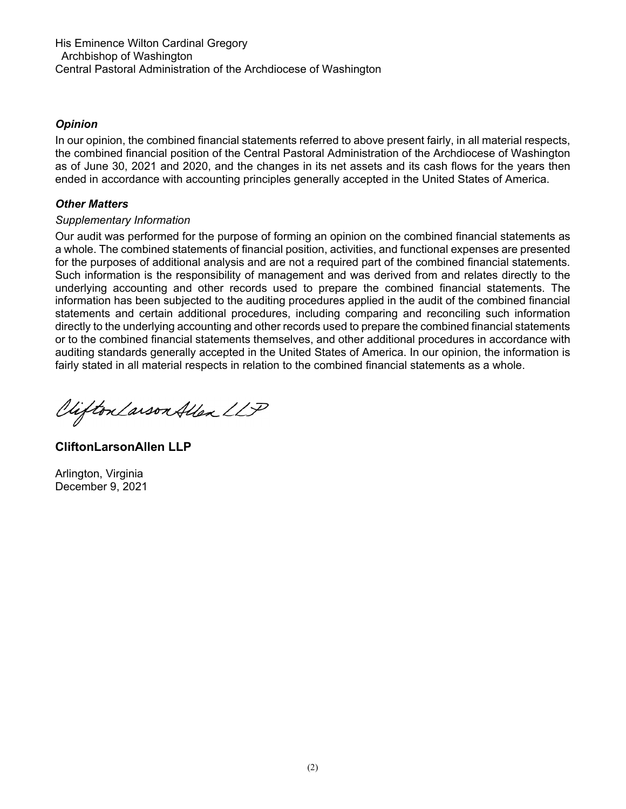His Eminence Wilton Cardinal Gregory Archbishop of Washington Central Pastoral Administration of the Archdiocese of Washington

# *Opinion*

In our opinion, the combined financial statements referred to above present fairly, in all material respects, the combined financial position of the Central Pastoral Administration of the Archdiocese of Washington as of June 30, 2021 and 2020, and the changes in its net assets and its cash flows for the years then ended in accordance with accounting principles generally accepted in the United States of America.

# *Other Matters*

# *Supplementary Information*

Our audit was performed for the purpose of forming an opinion on the combined financial statements as a whole. The combined statements of financial position, activities, and functional expenses are presented for the purposes of additional analysis and are not a required part of the combined financial statements. Such information is the responsibility of management and was derived from and relates directly to the underlying accounting and other records used to prepare the combined financial statements. The information has been subjected to the auditing procedures applied in the audit of the combined financial statements and certain additional procedures, including comparing and reconciling such information directly to the underlying accounting and other records used to prepare the combined financial statements or to the combined financial statements themselves, and other additional procedures in accordance with auditing standards generally accepted in the United States of America. In our opinion, the information is fairly stated in all material respects in relation to the combined financial statements as a whole.

Viifton Larson Allen LLP

**CliftonLarsonAllen LLP** 

Arlington, Virginia December 9, 2021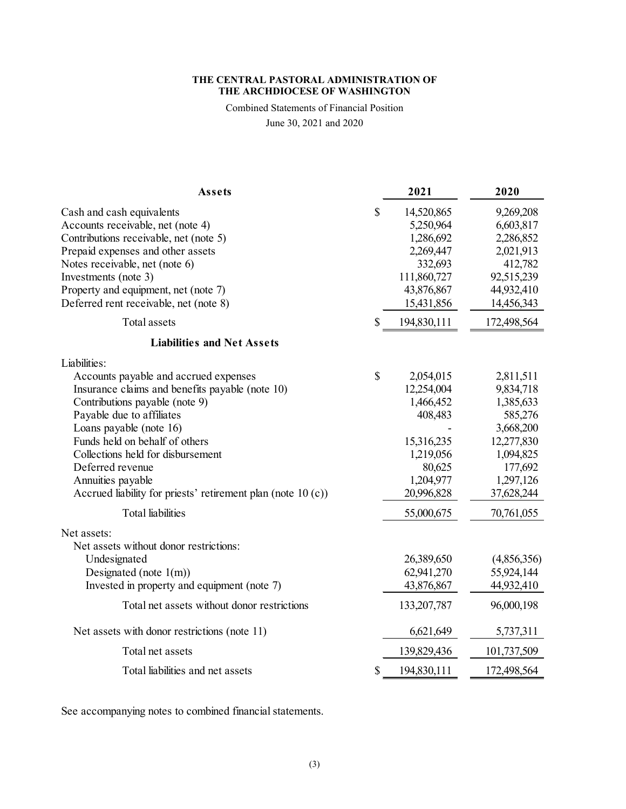Combined Statements of Financial Position

June 30, 2021 and 2020

| Assets                                                       | 2021              | 2020        |
|--------------------------------------------------------------|-------------------|-------------|
| Cash and cash equivalents                                    | \$<br>14,520,865  | 9,269,208   |
| Accounts receivable, net (note 4)                            | 5,250,964         | 6,603,817   |
| Contributions receivable, net (note 5)                       | 1,286,692         | 2,286,852   |
| Prepaid expenses and other assets                            | 2,269,447         | 2,021,913   |
| Notes receivable, net (note 6)                               | 332,693           | 412,782     |
| Investments (note 3)                                         | 111,860,727       | 92,515,239  |
| Property and equipment, net (note 7)                         | 43,876,867        | 44,932,410  |
| Deferred rent receivable, net (note 8)                       | 15,431,856        | 14,456,343  |
| Total assets                                                 | \$<br>194,830,111 | 172,498,564 |
| <b>Liabilities and Net Assets</b>                            |                   |             |
| Liabilities:                                                 |                   |             |
| Accounts payable and accrued expenses                        | \$<br>2,054,015   | 2,811,511   |
| Insurance claims and benefits payable (note 10)              | 12,254,004        | 9,834,718   |
| Contributions payable (note 9)                               | 1,466,452         | 1,385,633   |
| Payable due to affiliates                                    | 408,483           | 585,276     |
| Loans payable (note 16)                                      |                   | 3,668,200   |
| Funds held on behalf of others                               | 15,316,235        | 12,277,830  |
| Collections held for disbursement                            | 1,219,056         | 1,094,825   |
| Deferred revenue                                             | 80,625            | 177,692     |
| Annuities payable                                            | 1,204,977         | 1,297,126   |
| Accrued liability for priests' retirement plan (note 10 (c)) | 20,996,828        | 37,628,244  |
| <b>Total</b> liabilities                                     | 55,000,675        | 70,761,055  |
| Net assets:                                                  |                   |             |
| Net assets without donor restrictions:                       |                   |             |
| Undesignated                                                 | 26,389,650        | (4,856,356) |
| Designated (note $1(m)$ )                                    | 62,941,270        | 55,924,144  |
| Invested in property and equipment (note 7)                  | 43,876,867        | 44,932,410  |
| Total net assets without donor restrictions                  | 133,207,787       | 96,000,198  |
| Net assets with donor restrictions (note 11)                 | 6,621,649         | 5,737,311   |
| Total net assets                                             | 139,829,436       | 101,737,509 |
| Total liabilities and net assets                             | \$<br>194,830,111 | 172,498,564 |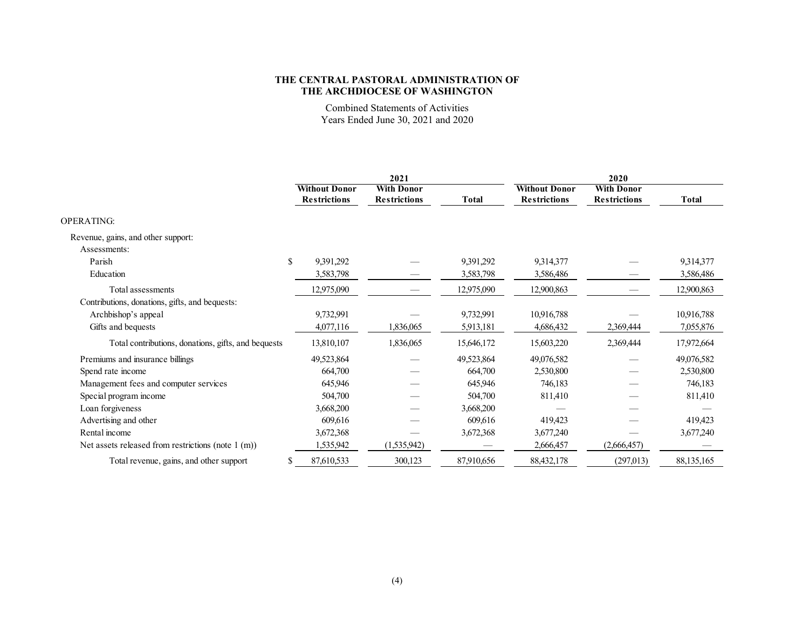Combined Statements of Activities Years Ended June 30, 2021 and 2020

|                                                     | 2021                 |                     |                     |              | 2020                 |                     |              |  |
|-----------------------------------------------------|----------------------|---------------------|---------------------|--------------|----------------------|---------------------|--------------|--|
|                                                     | <b>Without Donor</b> |                     | <b>With Donor</b>   |              | <b>Without Donor</b> | <b>With Donor</b>   |              |  |
|                                                     |                      | <b>Restrictions</b> | <b>Restrictions</b> | <b>Total</b> | <b>Restrictions</b>  | <b>Restrictions</b> | <b>Total</b> |  |
| <b>OPERATING:</b>                                   |                      |                     |                     |              |                      |                     |              |  |
| Revenue, gains, and other support:                  |                      |                     |                     |              |                      |                     |              |  |
| Assessments:                                        |                      |                     |                     |              |                      |                     |              |  |
| Parish                                              | <sup>\$</sup>        | 9,391,292           |                     | 9,391,292    | 9,314,377            |                     | 9,314,377    |  |
| Education                                           |                      | 3,583,798           |                     | 3,583,798    | 3,586,486            |                     | 3,586,486    |  |
| Total assessments                                   |                      | 12,975,090          |                     | 12,975,090   | 12,900,863           |                     | 12,900,863   |  |
| Contributions, donations, gifts, and bequests:      |                      |                     |                     |              |                      |                     |              |  |
| Archbishop's appeal                                 |                      | 9,732,991           |                     | 9,732,991    | 10,916,788           |                     | 10,916,788   |  |
| Gifts and bequests                                  |                      | 4,077,116           | 1,836,065           | 5,913,181    | 4,686,432            | 2,369,444           | 7,055,876    |  |
| Total contributions, donations, gifts, and bequests |                      | 13,810,107          | 1,836,065           | 15,646,172   | 15,603,220           | 2,369,444           | 17,972,664   |  |
| Premiums and insurance billings                     |                      | 49,523,864          |                     | 49,523,864   | 49,076,582           |                     | 49,076,582   |  |
| Spend rate income                                   |                      | 664,700             |                     | 664,700      | 2,530,800            |                     | 2,530,800    |  |
| Management fees and computer services               |                      | 645,946             |                     | 645,946      | 746,183              |                     | 746,183      |  |
| Special program income                              |                      | 504,700             |                     | 504,700      | 811,410              |                     | 811,410      |  |
| Loan forgiveness                                    |                      | 3,668,200           |                     | 3,668,200    |                      |                     |              |  |
| Advertising and other                               |                      | 609,616             |                     | 609,616      | 419,423              |                     | 419,423      |  |
| Rental income                                       |                      | 3,672,368           |                     | 3,672,368    | 3,677,240            |                     | 3,677,240    |  |
| Net assets released from restrictions (note 1 (m))  |                      | 1,535,942           | (1,535,942)         |              | 2,666,457            | (2,666,457)         |              |  |
| Total revenue, gains, and other support             |                      | 87,610,533          | 300,123             | 87,910,656   | 88,432,178           | (297, 013)          | 88, 135, 165 |  |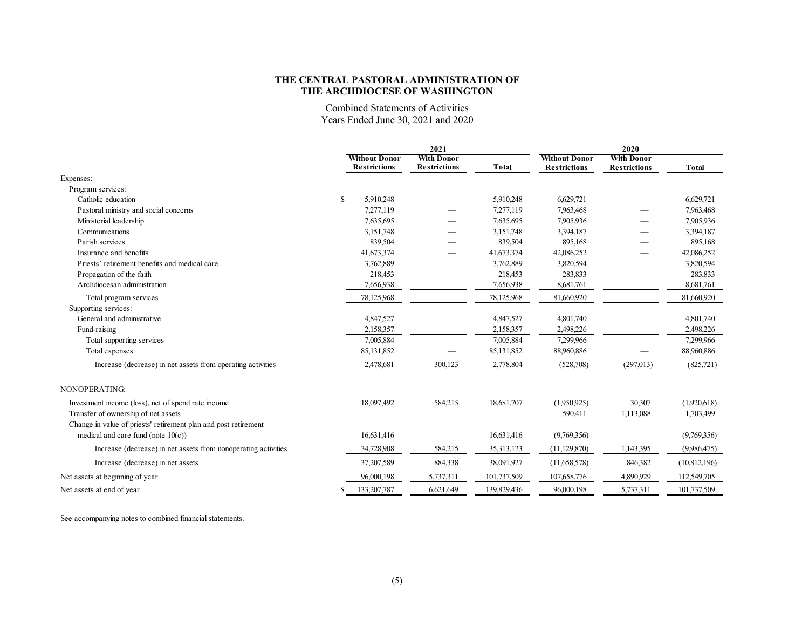Combined Statements of Activities Years Ended June 30, 2021 and 2020

|                                                                 |    |                                             | 2021                                     | 2020         |                                             |                                          |              |
|-----------------------------------------------------------------|----|---------------------------------------------|------------------------------------------|--------------|---------------------------------------------|------------------------------------------|--------------|
|                                                                 |    | <b>Without Donor</b><br><b>Restrictions</b> | <b>With Donor</b><br><b>Restrictions</b> | <b>Total</b> | <b>Without Donor</b><br><b>Restrictions</b> | <b>With Donor</b><br><b>Restrictions</b> | <b>Total</b> |
| Expenses:                                                       |    |                                             |                                          |              |                                             |                                          |              |
| Program services:                                               |    |                                             |                                          |              |                                             |                                          |              |
| Catholic education                                              | \$ | 5,910,248                                   |                                          | 5,910,248    | 6,629,721                                   |                                          | 6,629,721    |
| Pastoral ministry and social concerns                           |    | 7.277.119                                   |                                          | 7,277,119    | 7.963,468                                   |                                          | 7,963,468    |
| Ministerial leadership                                          |    | 7,635,695                                   |                                          | 7,635,695    | 7.905.936                                   |                                          | 7,905,936    |
| Communications                                                  |    | 3,151,748                                   |                                          | 3,151,748    | 3,394,187                                   |                                          | 3,394,187    |
| Parish services                                                 |    | 839,504                                     |                                          | 839,504      | 895,168                                     |                                          | 895,168      |
| Insurance and benefits                                          |    | 41,673,374                                  |                                          | 41,673,374   | 42,086,252                                  |                                          | 42,086,252   |
| Priests' retirement benefits and medical care                   |    | 3,762,889                                   |                                          | 3,762,889    | 3,820,594                                   |                                          | 3,820,594    |
| Propagation of the faith                                        |    | 218,453                                     |                                          | 218,453      | 283,833                                     |                                          | 283,833      |
| Archdiocesan administration                                     |    | 7,656,938                                   |                                          | 7,656,938    | 8,681,761                                   |                                          | 8,681,761    |
| Total program services                                          |    | 78,125,968                                  |                                          | 78,125,968   | 81,660,920                                  | $\hspace{0.1mm}-\hspace{0.1mm}$          | 81,660,920   |
| Supporting services:                                            |    |                                             |                                          |              |                                             |                                          |              |
| General and administrative                                      |    | 4,847,527                                   |                                          | 4,847,527    | 4,801,740                                   |                                          | 4,801,740    |
| Fund-raising                                                    |    | 2,158,357                                   |                                          | 2,158,357    | 2,498,226                                   |                                          | 2,498,226    |
| Total supporting services                                       |    | 7,005,884                                   |                                          | 7,005,884    | 7,299,966                                   | $\hspace{0.1mm}-\hspace{0.1mm}$          | 7,299,966    |
| Total expenses                                                  |    | 85,131,852                                  | $\hspace{0.1mm}-\hspace{0.1mm}$          | 85,131,852   | 88,960,886                                  | $\hspace{0.1mm}-\hspace{0.1mm}$          | 88,960,886   |
| Increase (decrease) in net assets from operating activities     |    | 2,478,681                                   | 300,123                                  | 2,778,804    | (528,708)                                   | (297,013)                                | (825,721)    |
| NONOPERATING:                                                   |    |                                             |                                          |              |                                             |                                          |              |
| Investment income (loss), net of spend rate income              |    | 18,097,492                                  | 584,215                                  | 18,681,707   | (1,950.925)                                 | 30,307                                   | (1,920,618)  |
| Transfer of ownership of net assets                             |    |                                             |                                          |              | 590,411                                     | 1,113,088                                | 1,703,499    |
| Change in value of priests' retirement plan and post retirement |    |                                             |                                          |              |                                             |                                          |              |
| medical and care fund (note $10(c)$ )                           |    | 16,631,416                                  |                                          | 16,631,416   | (9,769,356)                                 |                                          | (9,769,356)  |
| Increase (decrease) in net assets from nonoperating activities  |    | 34,728,908                                  | 584,215                                  | 35, 313, 123 | (11, 129, 870)                              | 1,143,395                                | (9,986,475)  |
| Increase (decrease) in net assets                               |    | 37,207,589                                  | 884,338                                  | 38,091,927   | (11,658,578)                                | 846,382                                  | (10,812,196) |
| Net assets at beginning of year                                 |    | 96,000,198                                  | 5,737,311                                | 101,737,509  | 107,658,776                                 | 4,890,929                                | 112,549,705  |
| Net assets at end of year                                       | S  | 133, 207, 787                               | 6,621,649                                | 139,829,436  | 96,000,198                                  | 5,737,311                                | 101,737,509  |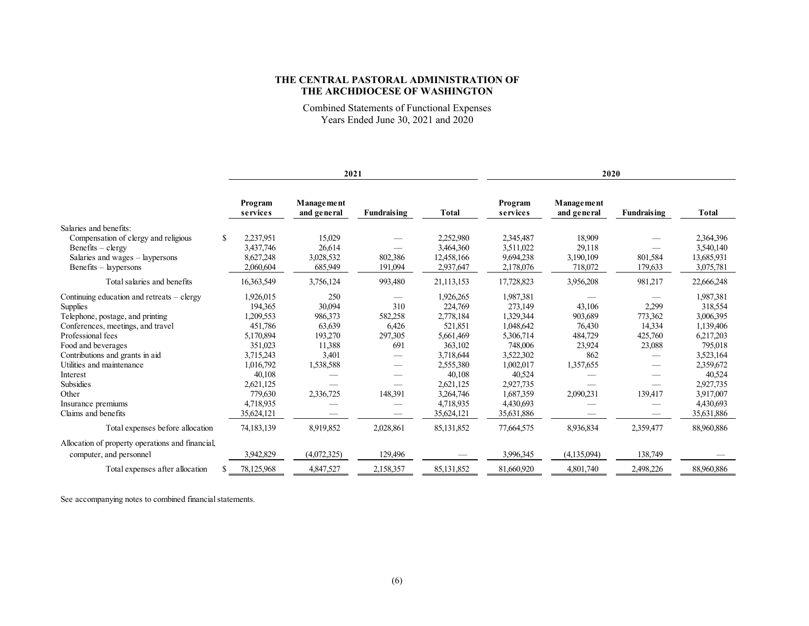Combined Statements of Functional Expenses Years Ended June 30, 2021 and 2020

|                                                  |                     | 2021                      |             |              | 2020                |                           |                    |              |
|--------------------------------------------------|---------------------|---------------------------|-------------|--------------|---------------------|---------------------------|--------------------|--------------|
|                                                  | Program<br>services | Management<br>and general | Fundraising | <b>Total</b> | Program<br>services | Management<br>and general | <b>Fundraising</b> | <b>Total</b> |
| Salaries and benefits:                           |                     |                           |             |              |                     |                           |                    |              |
| Compensation of clergy and religious             | 2,237,951<br>\$.    | 15,029                    |             | 2,252,980    | 2,345,487           | 18,909                    |                    | 2,364,396    |
| $Benefits - clergy$                              | 3,437,746           | 26,614                    |             | 3,464,360    | 3,511,022           | 29,118                    |                    | 3,540,140    |
| Salaries and wages $-$ laypersons                | 8,627,248           | 3,028,532                 | 802,386     | 12,458,166   | 9,694,238           | 3,190,109                 | 801,584            | 13,685,931   |
| Benefits – laypersons                            | 2,060,604           | 685,949                   | 191,094     | 2,937,647    | 2,178,076           | 718,072                   | 179,633            | 3,075,781    |
| Total salaries and benefits                      | 16,363,549          | 3,756,124                 | 993,480     | 21,113,153   | 17,728,823          | 3,956,208                 | 981,217            | 22,666,248   |
| Continuing education and retreats $-$ clergy     | 1,926,015           | 250                       |             | 1,926,265    | 1,987,381           |                           |                    | 1,987,381    |
| Supplies                                         | 194.365             | 30,094                    | 310         | 224,769      | 273,149             | 43,106                    | 2,299              | 318,554      |
| Telephone, postage, and printing                 | 1,209,553           | 986,373                   | 582,258     | 2,778,184    | 1,329,344           | 903,689                   | 773,362            | 3,006,395    |
| Conferences, meetings, and travel                | 451,786             | 63,639                    | 6,426       | 521,851      | 1,048,642           | 76,430                    | 14,334             | 1,139,406    |
| Professional fees                                | 5,170,894           | 193,270                   | 297,305     | 5,661,469    | 5,306,714           | 484,729                   | 425,760            | 6,217,203    |
| Food and beverages                               | 351.023             | 11,388                    | 691         | 363,102      | 748,006             | 23,924                    | 23,088             | 795,018      |
| Contributions and grants in aid                  | 3,715,243           | 3,401                     |             | 3,718,644    | 3,522,302           | 862                       |                    | 3,523,164    |
| Utilities and maintenance                        | 1,016,792           | 1,538,588                 |             | 2,555,380    | 1,002,017           | 1,357,655                 |                    | 2,359,672    |
| Interest                                         | 40,108              |                           |             | 40,108       | 40,524              |                           |                    | 40,524       |
| Subsidies                                        | 2,621,125           |                           |             | 2,621,125    | 2,927,735           |                           |                    | 2,927,735    |
| Other                                            | 779,630             | 2,336,725                 | 148,391     | 3,264,746    | 1,687,359           | 2,090,231                 | 139,417            | 3.917.007    |
| Insurance premiums                               | 4,718,935           |                           |             | 4,718,935    | 4,430,693           |                           |                    | 4,430,693    |
| Claims and benefits                              | 35,624,121          |                           |             | 35,624,121   | 35,631,886          |                           |                    | 35,631,886   |
| Total expenses before allocation                 | 74,183,139          | 8.919,852                 | 2,028,861   | 85,131,852   | 77,664,575          | 8.936,834                 | 2,359,477          | 88,960,886   |
| Allocation of property operations and financial, |                     |                           |             |              |                     |                           |                    |              |
| computer, and personnel                          | 3,942,829           | (4,072,325)               | 129,496     |              | 3,996,345           | (4,135,094)               | 138,749            |              |
| Total expenses after allocation                  | 78,125,968          | 4,847,527                 | 2,158,357   | 85,131,852   | 81,660,920          | 4,801,740                 | 2,498,226          | 88,960,886   |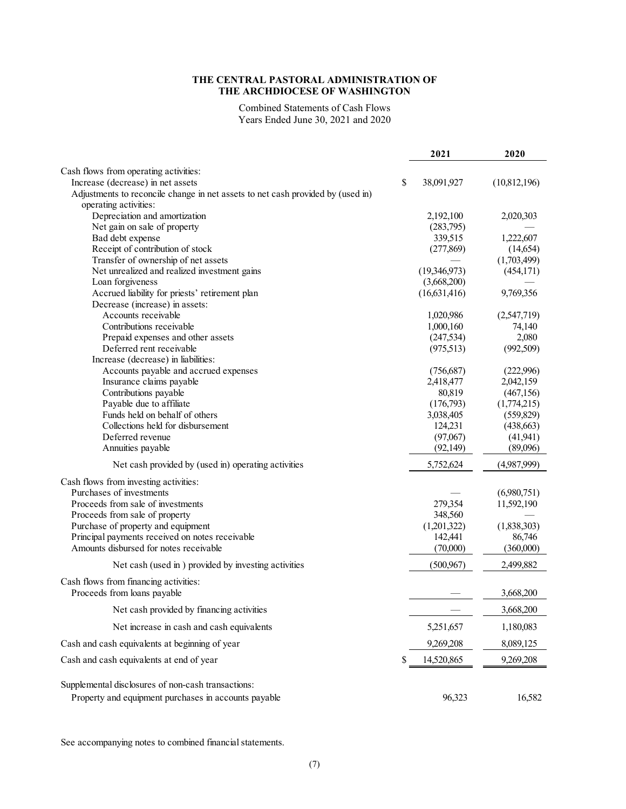Combined Statements of Cash Flows Years Ended June 30, 2021 and 2020

|                                                                                 | 2021             | 2020         |
|---------------------------------------------------------------------------------|------------------|--------------|
| Cash flows from operating activities:                                           |                  |              |
| Increase (decrease) in net assets                                               | \$<br>38,091,927 | (10,812,196) |
| Adjustments to reconcile change in net assets to net cash provided by (used in) |                  |              |
| operating activities:                                                           |                  |              |
| Depreciation and amortization                                                   | 2,192,100        | 2,020,303    |
| Net gain on sale of property                                                    | (283,795)        |              |
| Bad debt expense                                                                | 339,515          | 1,222,607    |
| Receipt of contribution of stock                                                | (277, 869)       | (14, 654)    |
| Transfer of ownership of net assets                                             |                  | (1,703,499)  |
| Net unrealized and realized investment gains                                    | (19,346,973)     | (454, 171)   |
| Loan forgiveness                                                                | (3,668,200)      |              |
| Accrued liability for priests' retirement plan                                  | (16,631,416)     | 9,769,356    |
| Decrease (increase) in assets:                                                  |                  |              |
| Accounts receivable                                                             | 1,020,986        | (2,547,719)  |
| Contributions receivable                                                        | 1,000,160        | 74,140       |
| Prepaid expenses and other assets                                               | (247, 534)       | 2,080        |
| Deferred rent receivable                                                        | (975,513)        | (992, 509)   |
| Increase (decrease) in liabilities:                                             |                  |              |
| Accounts payable and accrued expenses                                           | (756,687)        | (222,996)    |
| Insurance claims payable                                                        | 2,418,477        | 2,042,159    |
| Contributions payable                                                           | 80,819           | (467, 156)   |
| Payable due to affiliate                                                        | (176,793)        | (1,774,215)  |
| Funds held on behalf of others                                                  | 3,038,405        | (559, 829)   |
| Collections held for disbursement                                               | 124,231          | (438, 663)   |
| Deferred revenue                                                                | (97,067)         | (41, 941)    |
| Annuities payable                                                               | (92, 149)        | (89,096)     |
| Net cash provided by (used in) operating activities                             | 5,752,624        | (4,987,999)  |
| Cash flows from investing activities:                                           |                  |              |
| Purchases of investments                                                        |                  | (6,980,751)  |
| Proceeds from sale of investments                                               | 279,354          | 11,592,190   |
| Proceeds from sale of property                                                  | 348,560          |              |
| Purchase of property and equipment                                              | (1,201,322)      | (1,838,303)  |
| Principal payments received on notes receivable                                 | 142,441          | 86,746       |
| Amounts disbursed for notes receivable                                          | (70,000)         | (360,000)    |
|                                                                                 |                  |              |
| Net cash (used in ) provided by investing activities                            | (500, 967)       | 2,499,882    |
| Cash flows from financing activities:                                           |                  |              |
| Proceeds from loans payable                                                     |                  | 3,668,200    |
| Net cash provided by financing activities                                       |                  | 3,668,200    |
| Net increase in cash and cash equivalents                                       | 5,251,657        | 1,180,083    |
| Cash and cash equivalents at beginning of year                                  | 9,269,208        | 8,089,125    |
| Cash and cash equivalents at end of year                                        | \$<br>14,520,865 | 9,269,208    |
| Supplemental disclosures of non-cash transactions:                              |                  |              |
| Property and equipment purchases in accounts payable                            | 96,323           | 16,582       |
|                                                                                 |                  |              |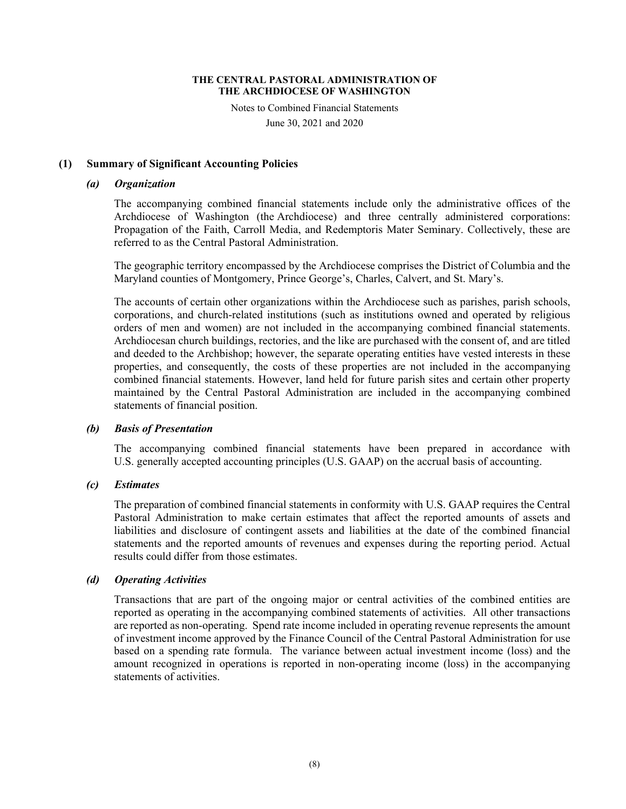Notes to Combined Financial Statements June 30, 2021 and 2020

# **(1) Summary of Significant Accounting Policies**

# *(a) Organization*

The accompanying combined financial statements include only the administrative offices of the Archdiocese of Washington (the Archdiocese) and three centrally administered corporations: Propagation of the Faith, Carroll Media, and Redemptoris Mater Seminary. Collectively, these are referred to as the Central Pastoral Administration.

The geographic territory encompassed by the Archdiocese comprises the District of Columbia and the Maryland counties of Montgomery, Prince George's, Charles, Calvert, and St. Mary's.

The accounts of certain other organizations within the Archdiocese such as parishes, parish schools, corporations, and church-related institutions (such as institutions owned and operated by religious orders of men and women) are not included in the accompanying combined financial statements. Archdiocesan church buildings, rectories, and the like are purchased with the consent of, and are titled and deeded to the Archbishop; however, the separate operating entities have vested interests in these properties, and consequently, the costs of these properties are not included in the accompanying combined financial statements. However, land held for future parish sites and certain other property maintained by the Central Pastoral Administration are included in the accompanying combined statements of financial position.

# *(b) Basis of Presentation*

The accompanying combined financial statements have been prepared in accordance with U.S. generally accepted accounting principles (U.S. GAAP) on the accrual basis of accounting.

# *(c) Estimates*

The preparation of combined financial statements in conformity with U.S. GAAP requires the Central Pastoral Administration to make certain estimates that affect the reported amounts of assets and liabilities and disclosure of contingent assets and liabilities at the date of the combined financial statements and the reported amounts of revenues and expenses during the reporting period. Actual results could differ from those estimates.

# *(d) Operating Activities*

Transactions that are part of the ongoing major or central activities of the combined entities are reported as operating in the accompanying combined statements of activities. All other transactions are reported as non-operating. Spend rate income included in operating revenue represents the amount of investment income approved by the Finance Council of the Central Pastoral Administration for use based on a spending rate formula. The variance between actual investment income (loss) and the amount recognized in operations is reported in non-operating income (loss) in the accompanying statements of activities.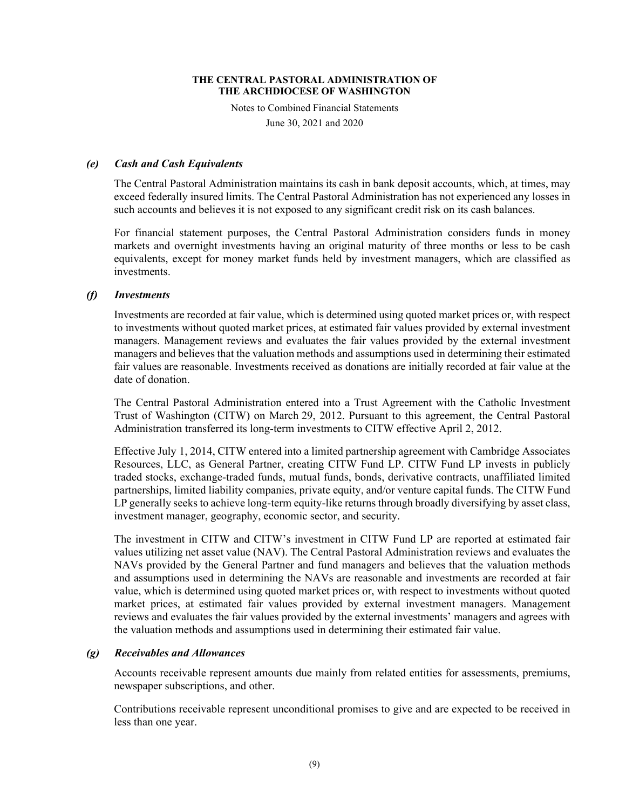Notes to Combined Financial Statements

June 30, 2021 and 2020

# *(e) Cash and Cash Equivalents*

The Central Pastoral Administration maintains its cash in bank deposit accounts, which, at times, may exceed federally insured limits. The Central Pastoral Administration has not experienced any losses in such accounts and believes it is not exposed to any significant credit risk on its cash balances.

For financial statement purposes, the Central Pastoral Administration considers funds in money markets and overnight investments having an original maturity of three months or less to be cash equivalents, except for money market funds held by investment managers, which are classified as investments.

# *(f) Investments*

Investments are recorded at fair value, which is determined using quoted market prices or, with respect to investments without quoted market prices, at estimated fair values provided by external investment managers. Management reviews and evaluates the fair values provided by the external investment managers and believes that the valuation methods and assumptions used in determining their estimated fair values are reasonable. Investments received as donations are initially recorded at fair value at the date of donation.

The Central Pastoral Administration entered into a Trust Agreement with the Catholic Investment Trust of Washington (CITW) on March 29, 2012. Pursuant to this agreement, the Central Pastoral Administration transferred its long-term investments to CITW effective April 2, 2012.

Effective July 1, 2014, CITW entered into a limited partnership agreement with Cambridge Associates Resources, LLC, as General Partner, creating CITW Fund LP. CITW Fund LP invests in publicly traded stocks, exchange-traded funds, mutual funds, bonds, derivative contracts, unaffiliated limited partnerships, limited liability companies, private equity, and/or venture capital funds. The CITW Fund LP generally seeks to achieve long-term equity-like returns through broadly diversifying by asset class, investment manager, geography, economic sector, and security.

The investment in CITW and CITW's investment in CITW Fund LP are reported at estimated fair values utilizing net asset value (NAV). The Central Pastoral Administration reviews and evaluates the NAVs provided by the General Partner and fund managers and believes that the valuation methods and assumptions used in determining the NAVs are reasonable and investments are recorded at fair value, which is determined using quoted market prices or, with respect to investments without quoted market prices, at estimated fair values provided by external investment managers. Management reviews and evaluates the fair values provided by the external investments' managers and agrees with the valuation methods and assumptions used in determining their estimated fair value.

### *(g) Receivables and Allowances*

Accounts receivable represent amounts due mainly from related entities for assessments, premiums, newspaper subscriptions, and other.

Contributions receivable represent unconditional promises to give and are expected to be received in less than one year.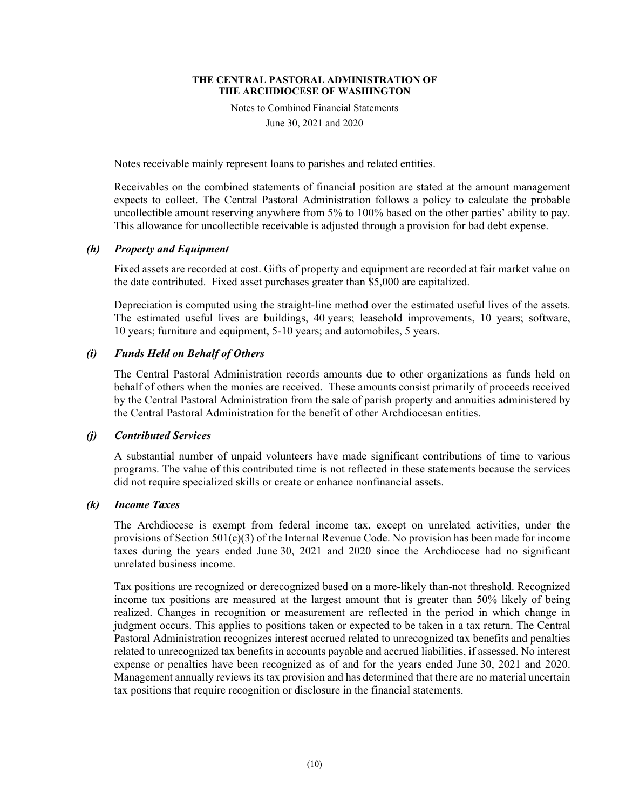Notes to Combined Financial Statements

June 30, 2021 and 2020

Notes receivable mainly represent loans to parishes and related entities.

Receivables on the combined statements of financial position are stated at the amount management expects to collect. The Central Pastoral Administration follows a policy to calculate the probable uncollectible amount reserving anywhere from 5% to 100% based on the other parties' ability to pay. This allowance for uncollectible receivable is adjusted through a provision for bad debt expense.

# *(h) Property and Equipment*

Fixed assets are recorded at cost. Gifts of property and equipment are recorded at fair market value on the date contributed. Fixed asset purchases greater than \$5,000 are capitalized.

Depreciation is computed using the straight-line method over the estimated useful lives of the assets. The estimated useful lives are buildings, 40 years; leasehold improvements, 10 years; software, 10 years; furniture and equipment, 5-10 years; and automobiles, 5 years.

# *(i) Funds Held on Behalf of Others*

The Central Pastoral Administration records amounts due to other organizations as funds held on behalf of others when the monies are received. These amounts consist primarily of proceeds received by the Central Pastoral Administration from the sale of parish property and annuities administered by the Central Pastoral Administration for the benefit of other Archdiocesan entities.

# *(j) Contributed Services*

A substantial number of unpaid volunteers have made significant contributions of time to various programs. The value of this contributed time is not reflected in these statements because the services did not require specialized skills or create or enhance nonfinancial assets.

# *(k) Income Taxes*

The Archdiocese is exempt from federal income tax, except on unrelated activities, under the provisions of Section  $501(c)(3)$  of the Internal Revenue Code. No provision has been made for income taxes during the years ended June 30, 2021 and 2020 since the Archdiocese had no significant unrelated business income.

Tax positions are recognized or derecognized based on a more-likely than-not threshold. Recognized income tax positions are measured at the largest amount that is greater than 50% likely of being realized. Changes in recognition or measurement are reflected in the period in which change in judgment occurs. This applies to positions taken or expected to be taken in a tax return. The Central Pastoral Administration recognizes interest accrued related to unrecognized tax benefits and penalties related to unrecognized tax benefits in accounts payable and accrued liabilities, if assessed. No interest expense or penalties have been recognized as of and for the years ended June 30, 2021 and 2020. Management annually reviews its tax provision and has determined that there are no material uncertain tax positions that require recognition or disclosure in the financial statements.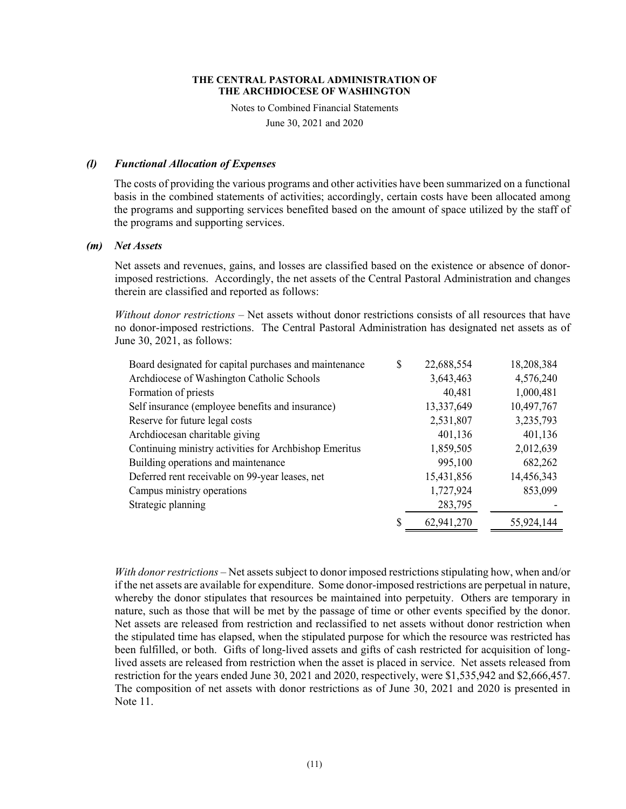Notes to Combined Financial Statements

June 30, 2021 and 2020

### *(l) Functional Allocation of Expenses*

The costs of providing the various programs and other activities have been summarized on a functional basis in the combined statements of activities; accordingly, certain costs have been allocated among the programs and supporting services benefited based on the amount of space utilized by the staff of the programs and supporting services.

# *(m) Net Assets*

Net assets and revenues, gains, and losses are classified based on the existence or absence of donorimposed restrictions. Accordingly, the net assets of the Central Pastoral Administration and changes therein are classified and reported as follows:

*Without donor restrictions* – Net assets without donor restrictions consists of all resources that have no donor-imposed restrictions. The Central Pastoral Administration has designated net assets as of June 30, 2021, as follows:

| Board designated for capital purchases and maintenance | \$<br>22,688,554 | 18,208,384 |
|--------------------------------------------------------|------------------|------------|
| Archdiocese of Washington Catholic Schools             | 3,643,463        | 4,576,240  |
| Formation of priests                                   | 40,481           | 1,000,481  |
| Self insurance (employee benefits and insurance)       | 13,337,649       | 10,497,767 |
| Reserve for future legal costs                         | 2,531,807        | 3,235,793  |
| Archdiocesan charitable giving                         | 401,136          | 401,136    |
| Continuing ministry activities for Archbishop Emeritus | 1,859,505        | 2,012,639  |
| Building operations and maintenance                    | 995,100          | 682,262    |
| Deferred rent receivable on 99-year leases, net        | 15,431,856       | 14,456,343 |
| Campus ministry operations                             | 1,727,924        | 853,099    |
| Strategic planning                                     | 283,795          |            |
|                                                        | 62,941,270       | 55,924,144 |

*With donor restrictions* – Net assets subject to donor imposed restrictions stipulating how, when and/or if the net assets are available for expenditure. Some donor-imposed restrictions are perpetual in nature, whereby the donor stipulates that resources be maintained into perpetuity. Others are temporary in nature, such as those that will be met by the passage of time or other events specified by the donor. Net assets are released from restriction and reclassified to net assets without donor restriction when the stipulated time has elapsed, when the stipulated purpose for which the resource was restricted has been fulfilled, or both. Gifts of long-lived assets and gifts of cash restricted for acquisition of longlived assets are released from restriction when the asset is placed in service. Net assets released from restriction for the years ended June 30, 2021 and 2020, respectively, were \$1,535,942 and \$2,666,457. The composition of net assets with donor restrictions as of June 30, 2021 and 2020 is presented in Note 11.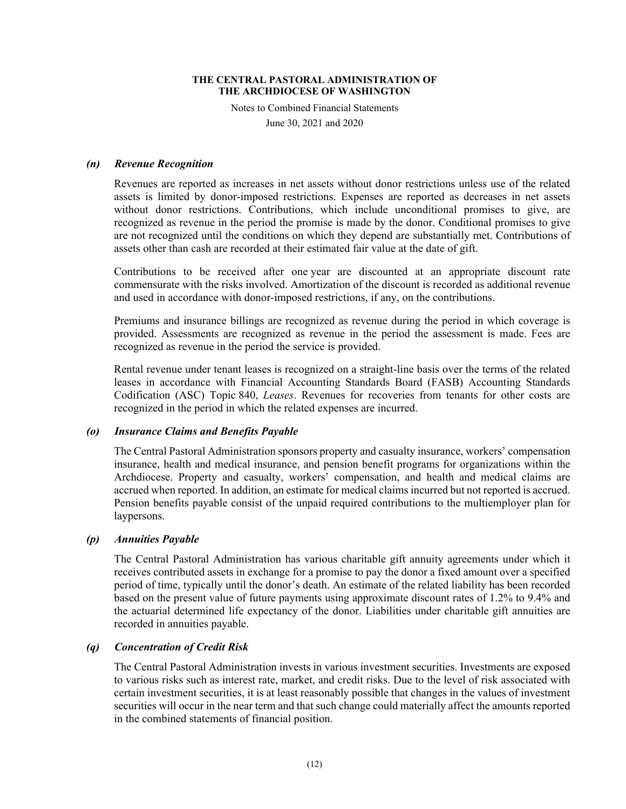Notes to Combined Financial Statements

June 30, 2021 and 2020

# *(n) Revenue Recognition*

Revenues are reported as increases in net assets without donor restrictions unless use of the related assets is limited by donor-imposed restrictions. Expenses are reported as decreases in net assets without donor restrictions. Contributions, which include unconditional promises to give, are recognized as revenue in the period the promise is made by the donor. Conditional promises to give are not recognized until the conditions on which they depend are substantially met. Contributions of assets other than cash are recorded at their estimated fair value at the date of gift.

Contributions to be received after one year are discounted at an appropriate discount rate commensurate with the risks involved. Amortization of the discount is recorded as additional revenue and used in accordance with donor-imposed restrictions, if any, on the contributions.

Premiums and insurance billings are recognized as revenue during the period in which coverage is provided. Assessments are recognized as revenue in the period the assessment is made. Fees are recognized as revenue in the period the service is provided.

Rental revenue under tenant leases is recognized on a straight-line basis over the terms of the related leases in accordance with Financial Accounting Standards Board (FASB) Accounting Standards Codification (ASC) Topic 840, *Leases*. Revenues for recoveries from tenants for other costs are recognized in the period in which the related expenses are incurred.

### *(o) Insurance Claims and Benefits Payable*

The Central Pastoral Administration sponsors property and casualty insurance, workers' compensation insurance, health and medical insurance, and pension benefit programs for organizations within the Archdiocese. Property and casualty, workers' compensation, and health and medical claims are accrued when reported. In addition, an estimate for medical claims incurred but not reported is accrued. Pension benefits payable consist of the unpaid required contributions to the multiemployer plan for laypersons.

### *(p) Annuities Payable*

The Central Pastoral Administration has various charitable gift annuity agreements under which it receives contributed assets in exchange for a promise to pay the donor a fixed amount over a specified period of time, typically until the donor's death. An estimate of the related liability has been recorded based on the present value of future payments using approximate discount rates of 1.2% to 9.4% and the actuarial determined life expectancy of the donor. Liabilities under charitable gift annuities are recorded in annuities payable.

# *(q) Concentration of Credit Risk*

The Central Pastoral Administration invests in various investment securities. Investments are exposed to various risks such as interest rate, market, and credit risks. Due to the level of risk associated with certain investment securities, it is at least reasonably possible that changes in the values of investment securities will occur in the near term and that such change could materially affect the amounts reported in the combined statements of financial position.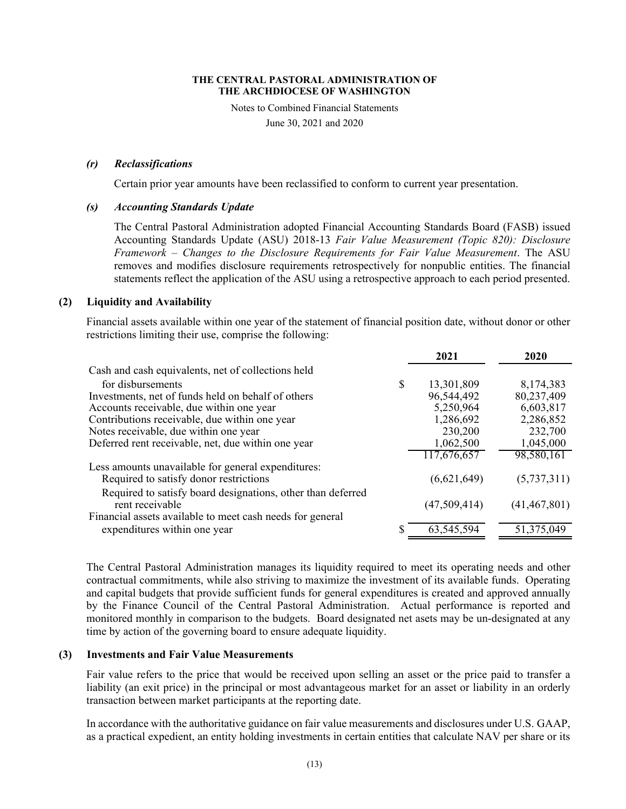Notes to Combined Financial Statements

June 30, 2021 and 2020

# *(r) Reclassifications*

Certain prior year amounts have been reclassified to conform to current year presentation.

# *(s) Accounting Standards Update*

The Central Pastoral Administration adopted Financial Accounting Standards Board (FASB) issued Accounting Standards Update (ASU) 2018-13 *Fair Value Measurement (Topic 820): Disclosure Framework – Changes to the Disclosure Requirements for Fair Value Measurement*. The ASU removes and modifies disclosure requirements retrospectively for nonpublic entities. The financial statements reflect the application of the ASU using a retrospective approach to each period presented.

# **(2) Liquidity and Availability**

Financial assets available within one year of the statement of financial position date, without donor or other restrictions limiting their use, comprise the following:

|                                                             |    | 2021         | 2020           |
|-------------------------------------------------------------|----|--------------|----------------|
| Cash and cash equivalents, net of collections held          |    |              |                |
| for disbursements                                           | \$ | 13,301,809   | 8,174,383      |
| Investments, net of funds held on behalf of others          |    | 96,544,492   | 80,237,409     |
| Accounts receivable, due within one year                    |    | 5,250,964    | 6,603,817      |
| Contributions receivable, due within one year               |    | 1,286,692    | 2,286,852      |
| Notes receivable, due within one year                       |    | 230,200      | 232,700        |
| Deferred rent receivable, net, due within one year          |    | 1,062,500    | 1,045,000      |
|                                                             |    | 117,676,657  | 98,580,161     |
| Less amounts unavailable for general expenditures:          |    |              |                |
| Required to satisfy donor restrictions                      |    | (6,621,649)  | (5,737,311)    |
| Required to satisfy board designations, other than deferred |    |              |                |
| rent receivable                                             |    | (47,509,414) | (41, 467, 801) |
| Financial assets available to meet cash needs for general   |    |              |                |
| expenditures within one year                                | S  | 63,545,594   | 51,375,049     |

The Central Pastoral Administration manages its liquidity required to meet its operating needs and other contractual commitments, while also striving to maximize the investment of its available funds. Operating and capital budgets that provide sufficient funds for general expenditures is created and approved annually by the Finance Council of the Central Pastoral Administration. Actual performance is reported and monitored monthly in comparison to the budgets. Board designated net asets may be un-designated at any time by action of the governing board to ensure adequate liquidity.

# **(3) Investments and Fair Value Measurements**

Fair value refers to the price that would be received upon selling an asset or the price paid to transfer a liability (an exit price) in the principal or most advantageous market for an asset or liability in an orderly transaction between market participants at the reporting date.

In accordance with the authoritative guidance on fair value measurements and disclosures under U.S. GAAP, as a practical expedient, an entity holding investments in certain entities that calculate NAV per share or its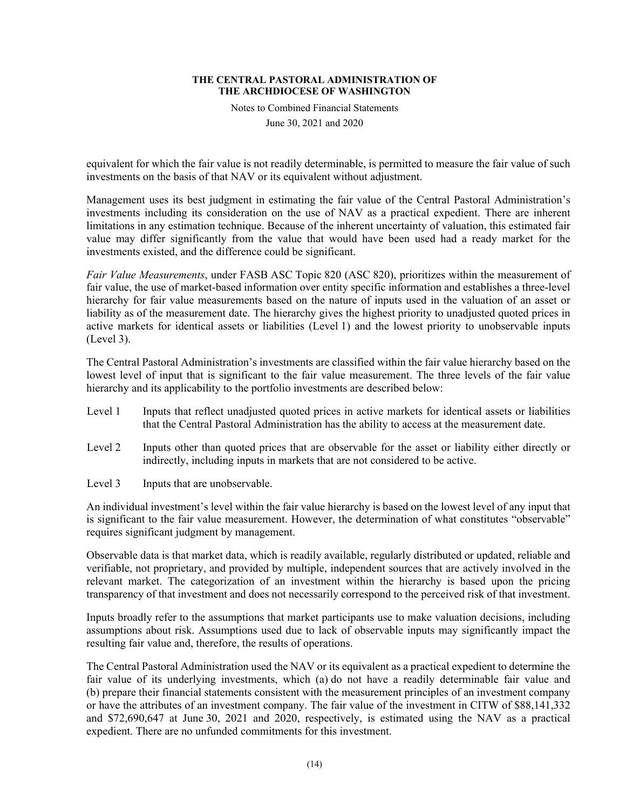Notes to Combined Financial Statements

June 30, 2021 and 2020

equivalent for which the fair value is not readily determinable, is permitted to measure the fair value of such investments on the basis of that NAV or its equivalent without adjustment.

Management uses its best judgment in estimating the fair value of the Central Pastoral Administration's investments including its consideration on the use of NAV as a practical expedient. There are inherent limitations in any estimation technique. Because of the inherent uncertainty of valuation, this estimated fair value may differ significantly from the value that would have been used had a ready market for the investments existed, and the difference could be significant.

*Fair Value Measurements*, under FASB ASC Topic 820 (ASC 820), prioritizes within the measurement of fair value, the use of market-based information over entity specific information and establishes a three-level hierarchy for fair value measurements based on the nature of inputs used in the valuation of an asset or liability as of the measurement date. The hierarchy gives the highest priority to unadjusted quoted prices in active markets for identical assets or liabilities (Level 1) and the lowest priority to unobservable inputs (Level 3).

The Central Pastoral Administration's investments are classified within the fair value hierarchy based on the lowest level of input that is significant to the fair value measurement. The three levels of the fair value hierarchy and its applicability to the portfolio investments are described below:

- Level 1 Inputs that reflect unadjusted quoted prices in active markets for identical assets or liabilities that the Central Pastoral Administration has the ability to access at the measurement date.
- Level 2 Inputs other than quoted prices that are observable for the asset or liability either directly or indirectly, including inputs in markets that are not considered to be active.
- Level 3 Inputs that are unobservable.

An individual investment's level within the fair value hierarchy is based on the lowest level of any input that is significant to the fair value measurement. However, the determination of what constitutes "observable" requires significant judgment by management.

Observable data is that market data, which is readily available, regularly distributed or updated, reliable and verifiable, not proprietary, and provided by multiple, independent sources that are actively involved in the relevant market. The categorization of an investment within the hierarchy is based upon the pricing transparency of that investment and does not necessarily correspond to the perceived risk of that investment.

Inputs broadly refer to the assumptions that market participants use to make valuation decisions, including assumptions about risk. Assumptions used due to lack of observable inputs may significantly impact the resulting fair value and, therefore, the results of operations.

The Central Pastoral Administration used the NAV or its equivalent as a practical expedient to determine the fair value of its underlying investments, which (a) do not have a readily determinable fair value and (b) prepare their financial statements consistent with the measurement principles of an investment company or have the attributes of an investment company. The fair value of the investment in CITW of \$88,141,332 and \$72,690,647 at June 30, 2021 and 2020, respectively, is estimated using the NAV as a practical expedient. There are no unfunded commitments for this investment.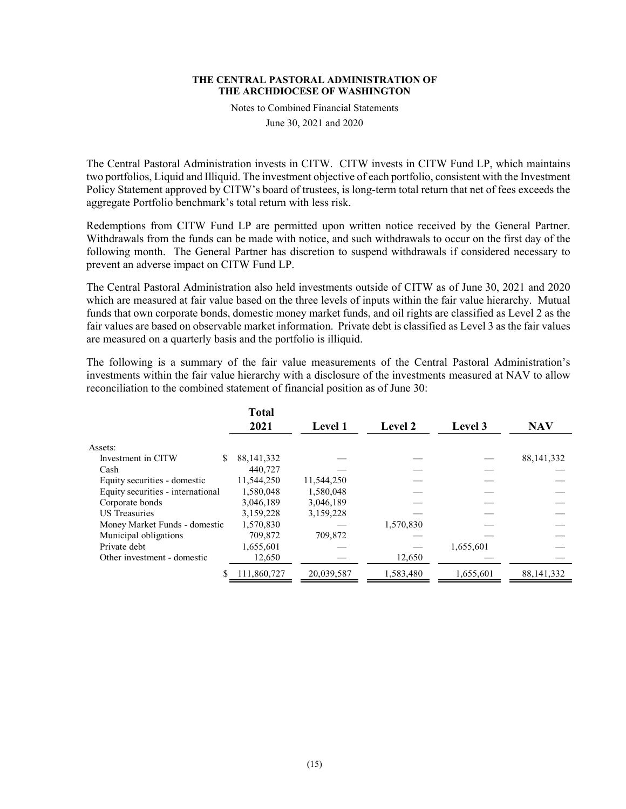Notes to Combined Financial Statements

June 30, 2021 and 2020

The Central Pastoral Administration invests in CITW. CITW invests in CITW Fund LP, which maintains two portfolios, Liquid and Illiquid. The investment objective of each portfolio, consistent with the Investment Policy Statement approved by CITW's board of trustees, is long-term total return that net of fees exceeds the aggregate Portfolio benchmark's total return with less risk.

Redemptions from CITW Fund LP are permitted upon written notice received by the General Partner. Withdrawals from the funds can be made with notice, and such withdrawals to occur on the first day of the following month. The General Partner has discretion to suspend withdrawals if considered necessary to prevent an adverse impact on CITW Fund LP.

The Central Pastoral Administration also held investments outside of CITW as of June 30, 2021 and 2020 which are measured at fair value based on the three levels of inputs within the fair value hierarchy. Mutual funds that own corporate bonds, domestic money market funds, and oil rights are classified as Level 2 as the fair values are based on observable market information. Private debt is classified as Level 3 as the fair values are measured on a quarterly basis and the portfolio is illiquid.

The following is a summary of the fair value measurements of the Central Pastoral Administration's investments within the fair value hierarchy with a disclosure of the investments measured at NAV to allow reconciliation to the combined statement of financial position as of June 30:

|                                   | <b>Total</b> |                |                |                |              |
|-----------------------------------|--------------|----------------|----------------|----------------|--------------|
|                                   | 2021         | <b>Level 1</b> | <b>Level 2</b> | <b>Level 3</b> | <b>NAV</b>   |
| Assets:                           |              |                |                |                |              |
| Investment in CITW                | 88, 141, 332 |                |                |                | 88, 141, 332 |
| Cash                              | 440,727      |                |                |                |              |
| Equity securities - domestic      | 11,544,250   | 11,544,250     |                |                |              |
| Equity securities - international | 1,580,048    | 1,580,048      |                |                |              |
| Corporate bonds                   | 3,046,189    | 3,046,189      |                |                |              |
| <b>US</b> Treasuries              | 3,159,228    | 3,159,228      |                |                |              |
| Money Market Funds - domestic     | 1,570,830    |                | 1,570,830      |                |              |
| Municipal obligations             | 709,872      | 709,872        |                |                |              |
| Private debt                      | 1,655,601    |                |                | 1,655,601      |              |
| Other investment - domestic       | 12,650       |                | 12,650         |                |              |
|                                   | 111,860,727  | 20,039,587     | 1,583,480      | 1,655,601      | 88,141,332   |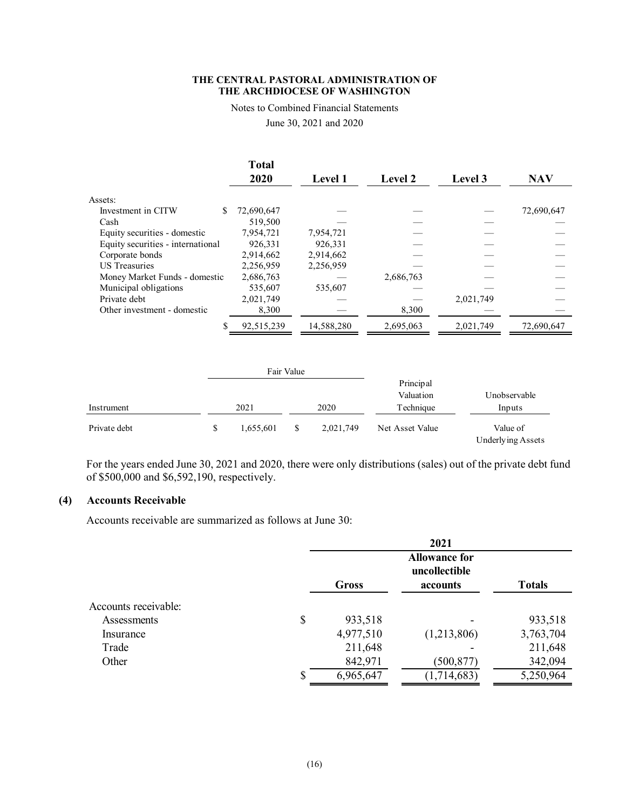Notes to Combined Financial Statements

June 30, 2021 and 2020

|                                   | <b>Total</b><br>2020 | <b>Level 1</b> | <b>Level 2</b> | <b>Level 3</b> | <b>NAV</b> |
|-----------------------------------|----------------------|----------------|----------------|----------------|------------|
| Assets:                           |                      |                |                |                |            |
| Investment in CITW                | 72,690,647           |                |                |                | 72,690,647 |
| Cash                              | 519,500              |                |                |                |            |
| Equity securities - domestic      | 7,954,721            | 7,954,721      |                |                |            |
| Equity securities - international | 926.331              | 926.331        |                |                |            |
| Corporate bonds                   | 2,914,662            | 2.914.662      |                |                |            |
| <b>US</b> Treasuries              | 2,256,959            | 2,256,959      |                |                |            |
| Money Market Funds - domestic     | 2,686,763            |                | 2,686,763      |                |            |
| Municipal obligations             | 535,607              | 535,607        |                |                |            |
| Private debt                      | 2,021,749            |                |                | 2,021,749      |            |
| Other investment - domestic       | 8,300                |                | 8,300          |                |            |
|                                   | 92,515,239           | 14,588,280     | 2,695,063      | 2,021,749      | 72,690,647 |

|              |                 | Fair Value |           |                        |                               |
|--------------|-----------------|------------|-----------|------------------------|-------------------------------|
|              |                 |            |           | Principal<br>Valuation | Unobservable                  |
| Instrument   | 2021            |            | 2020      | Technique              | Inputs                        |
| Private debt | \$<br>1,655,601 | \$         | 2,021,749 | Net Asset Value        | Value of<br>Underlying Assets |

For the years ended June 30, 2021 and 2020, there were only distributions (sales) out of the private debt fund of \$500,000 and \$6,592,190, respectively.

# **(4) Accounts Receivable**

Accounts receivable are summarized as follows at June 30:

|                      | 2021                                  |             |               |  |  |
|----------------------|---------------------------------------|-------------|---------------|--|--|
|                      | <b>Allowance for</b><br>uncollectible |             |               |  |  |
|                      | Gross                                 | accounts    | <b>Totals</b> |  |  |
| Accounts receivable: |                                       |             |               |  |  |
| Assessments          | \$<br>933,518                         |             | 933,518       |  |  |
| Insurance            | 4,977,510                             | (1,213,806) | 3,763,704     |  |  |
| Trade                | 211,648                               |             | 211,648       |  |  |
| Other                | 842,971                               | (500, 877)  | 342,094       |  |  |
|                      | \$<br>6,965,647                       | (1,714,683) | 5,250,964     |  |  |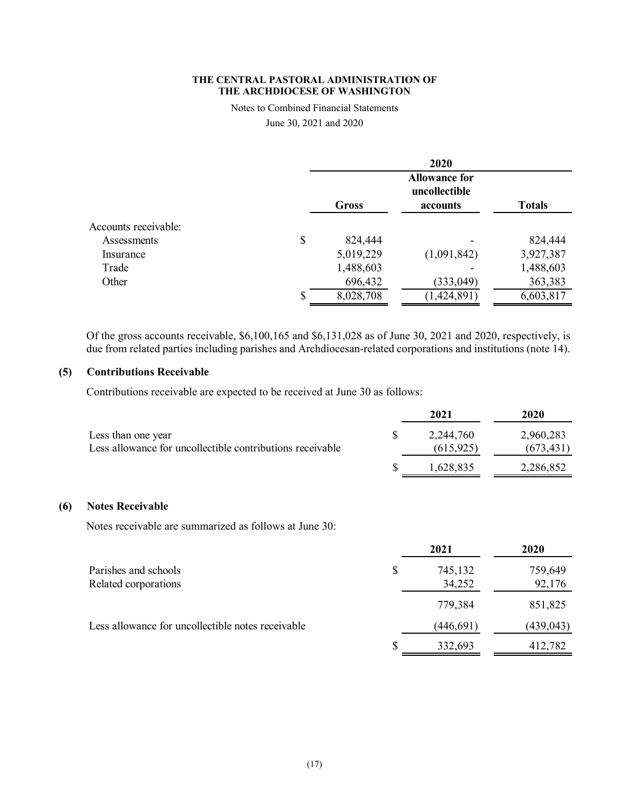Notes to Combined Financial Statements

June 30, 2021 and 2020

|                      |    | 2020                                  |             |               |  |  |  |
|----------------------|----|---------------------------------------|-------------|---------------|--|--|--|
|                      |    | <b>Allowance for</b><br>uncollectible |             |               |  |  |  |
|                      |    | Gross                                 | accounts    | <b>Totals</b> |  |  |  |
| Accounts receivable: |    |                                       |             |               |  |  |  |
| Assessments          | \$ | 824,444                               |             | 824,444       |  |  |  |
| Insurance            |    | 5,019,229                             | (1,091,842) | 3,927,387     |  |  |  |
| Trade                |    | 1,488,603                             |             | 1,488,603     |  |  |  |
| Other                |    | 696,432                               | (333, 049)  | 363,383       |  |  |  |
|                      | S  | 8,028,708                             | (1,424,891) | 6,603,817     |  |  |  |

Of the gross accounts receivable, \$6,100,165 and \$6,131,028 as of June 30, 2021 and 2020, respectively, is due from related parties including parishes and Archdiocesan-related corporations and institutions (note 14).

# **(5) Contributions Receivable**

Contributions receivable are expected to be received at June 30 as follows:

|                                                           | 2021       | 2020       |
|-----------------------------------------------------------|------------|------------|
| Less than one year                                        | 2,244,760  | 2,960,283  |
| Less allowance for uncollectible contributions receivable | (615, 925) | (673, 431) |
|                                                           | 1,628,835  | 2,286,852  |

# **(6) Notes Receivable**

Notes receivable are summarized as follows at June 30:

|                                                   | 2021          | 2020       |
|---------------------------------------------------|---------------|------------|
| Parishes and schools                              | \$<br>745,132 | 759,649    |
| Related corporations                              | 34,252        | 92,176     |
|                                                   | 779,384       | 851,825    |
| Less allowance for uncollectible notes receivable | (446, 691)    | (439, 043) |
|                                                   | 332,693       | 412,782    |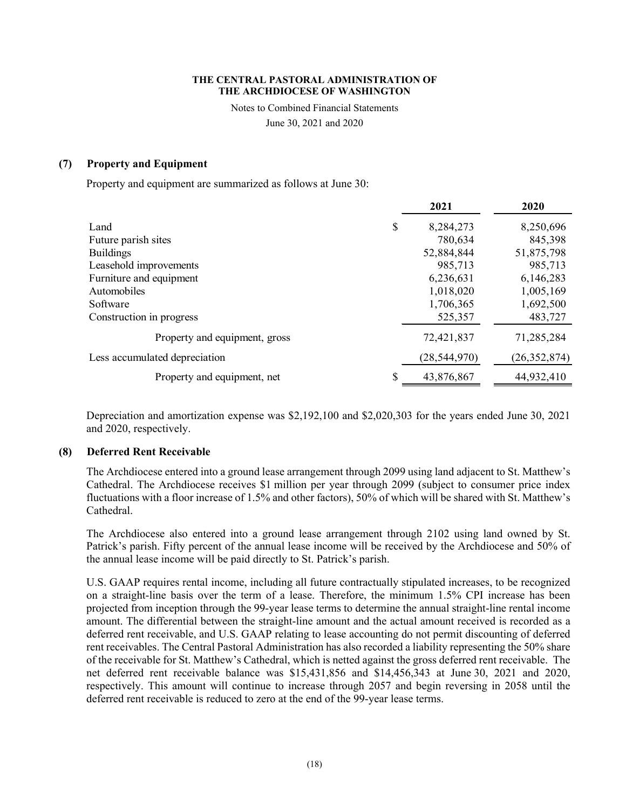Notes to Combined Financial Statements

June 30, 2021 and 2020

# **(7) Property and Equipment**

Property and equipment are summarized as follows at June 30:

|                               |    | 2021           | 2020           |
|-------------------------------|----|----------------|----------------|
| Land                          | \$ | 8,284,273      | 8,250,696      |
| Future parish sites           |    | 780,634        | 845,398        |
| <b>Buildings</b>              |    | 52,884,844     | 51,875,798     |
| Leasehold improvements        |    | 985,713        | 985,713        |
| Furniture and equipment       |    | 6,236,631      | 6,146,283      |
| Automobiles                   |    | 1,018,020      | 1,005,169      |
| Software                      |    | 1,706,365      | 1,692,500      |
| Construction in progress      |    | 525,357        | 483,727        |
| Property and equipment, gross |    | 72,421,837     | 71,285,284     |
| Less accumulated depreciation |    | (28, 544, 970) | (26, 352, 874) |
| Property and equipment, net   | S  | 43,876,867     | 44,932,410     |

Depreciation and amortization expense was \$2,192,100 and \$2,020,303 for the years ended June 30, 2021 and 2020, respectively.

### **(8) Deferred Rent Receivable**

The Archdiocese entered into a ground lease arrangement through 2099 using land adjacent to St. Matthew's Cathedral. The Archdiocese receives \$1 million per year through 2099 (subject to consumer price index fluctuations with a floor increase of 1.5% and other factors), 50% of which will be shared with St. Matthew's Cathedral.

The Archdiocese also entered into a ground lease arrangement through 2102 using land owned by St. Patrick's parish. Fifty percent of the annual lease income will be received by the Archdiocese and 50% of the annual lease income will be paid directly to St. Patrick's parish.

U.S. GAAP requires rental income, including all future contractually stipulated increases, to be recognized on a straight-line basis over the term of a lease. Therefore, the minimum 1.5% CPI increase has been projected from inception through the 99-year lease terms to determine the annual straight-line rental income amount. The differential between the straight-line amount and the actual amount received is recorded as a deferred rent receivable, and U.S. GAAP relating to lease accounting do not permit discounting of deferred rent receivables. The Central Pastoral Administration has also recorded a liability representing the 50% share of the receivable for St. Matthew's Cathedral, which is netted against the gross deferred rent receivable. The net deferred rent receivable balance was \$15,431,856 and \$14,456,343 at June 30, 2021 and 2020, respectively. This amount will continue to increase through 2057 and begin reversing in 2058 until the deferred rent receivable is reduced to zero at the end of the 99-year lease terms.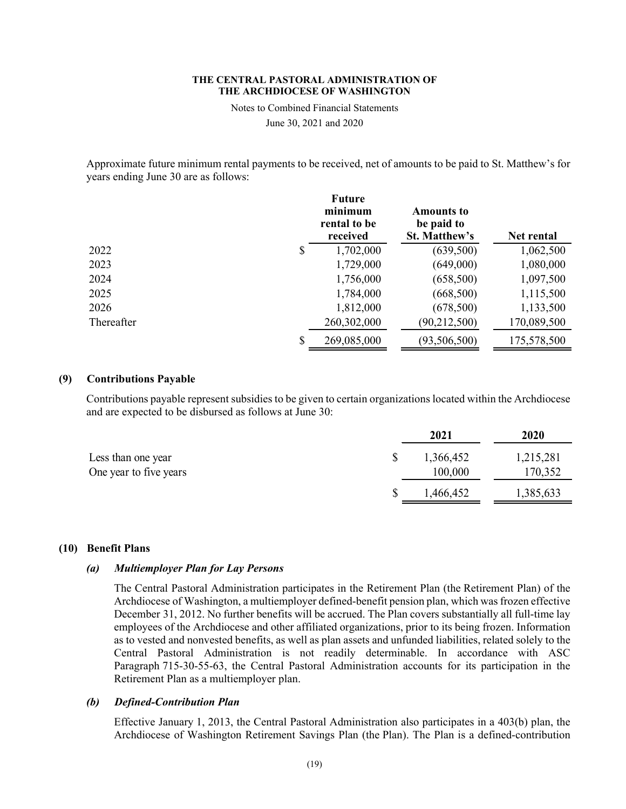Notes to Combined Financial Statements

June 30, 2021 and 2020

Approximate future minimum rental payments to be received, net of amounts to be paid to St. Matthew's for years ending June 30 are as follows:

|            | <b>Future</b><br>minimum<br>rental to be<br>received | <b>Amounts to</b><br>be paid to<br><b>St. Matthew's</b> | Net rental  |
|------------|------------------------------------------------------|---------------------------------------------------------|-------------|
| 2022       | \$<br>1,702,000                                      | (639, 500)                                              | 1,062,500   |
| 2023       | 1,729,000                                            | (649,000)                                               | 1,080,000   |
| 2024       | 1,756,000                                            | (658, 500)                                              | 1,097,500   |
| 2025       | 1,784,000                                            | (668, 500)                                              | 1,115,500   |
| 2026       | 1,812,000                                            | (678, 500)                                              | 1,133,500   |
| Thereafter | 260,302,000                                          | (90, 212, 500)                                          | 170,089,500 |
|            | \$<br>269,085,000                                    | (93, 506, 500)                                          | 175,578,500 |

# **(9) Contributions Payable**

Contributions payable represent subsidies to be given to certain organizations located within the Archdiocese and are expected to be disbursed as follows at June 30:

|                                              | 2021                 | 2020                 |
|----------------------------------------------|----------------------|----------------------|
| Less than one year<br>One year to five years | 1,366,452<br>100,000 | 1,215,281<br>170,352 |
|                                              | 1,466,452            | 1,385,633            |

# **(10) Benefit Plans**

### *(a) Multiemployer Plan for Lay Persons*

The Central Pastoral Administration participates in the Retirement Plan (the Retirement Plan) of the Archdiocese of Washington, a multiemployer defined-benefit pension plan, which was frozen effective December 31, 2012. No further benefits will be accrued. The Plan covers substantially all full-time lay employees of the Archdiocese and other affiliated organizations, prior to its being frozen. Information as to vested and nonvested benefits, as well as plan assets and unfunded liabilities, related solely to the Central Pastoral Administration is not readily determinable. In accordance with ASC Paragraph 715-30-55-63, the Central Pastoral Administration accounts for its participation in the Retirement Plan as a multiemployer plan.

### *(b) Defined-Contribution Plan*

Effective January 1, 2013, the Central Pastoral Administration also participates in a 403(b) plan, the Archdiocese of Washington Retirement Savings Plan (the Plan). The Plan is a defined-contribution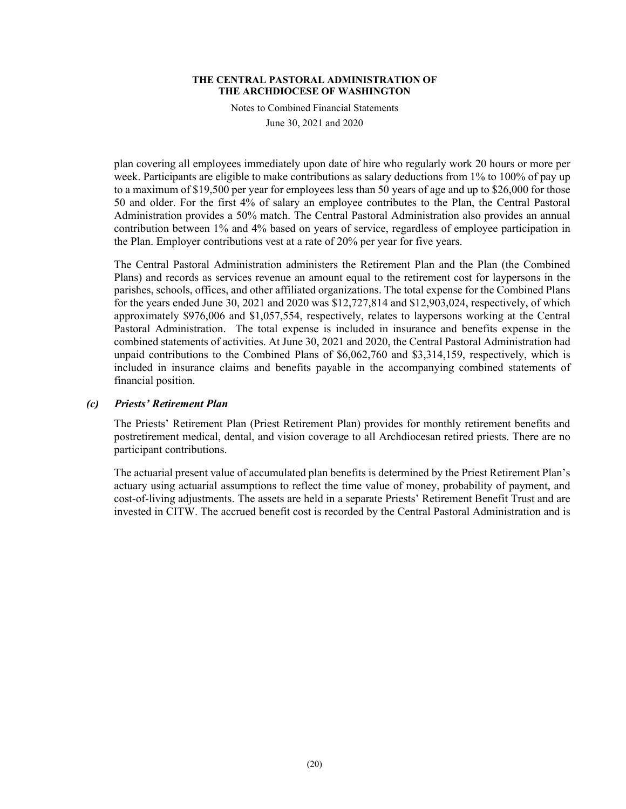Notes to Combined Financial Statements

June 30, 2021 and 2020

plan covering all employees immediately upon date of hire who regularly work 20 hours or more per week. Participants are eligible to make contributions as salary deductions from 1% to 100% of pay up to a maximum of \$19,500 per year for employees less than 50 years of age and up to \$26,000 for those 50 and older. For the first 4% of salary an employee contributes to the Plan, the Central Pastoral Administration provides a 50% match. The Central Pastoral Administration also provides an annual contribution between 1% and 4% based on years of service, regardless of employee participation in the Plan. Employer contributions vest at a rate of 20% per year for five years.

The Central Pastoral Administration administers the Retirement Plan and the Plan (the Combined Plans) and records as services revenue an amount equal to the retirement cost for laypersons in the parishes, schools, offices, and other affiliated organizations. The total expense for the Combined Plans for the years ended June 30, 2021 and 2020 was \$12,727,814 and \$12,903,024, respectively, of which approximately \$976,006 and \$1,057,554, respectively, relates to laypersons working at the Central Pastoral Administration. The total expense is included in insurance and benefits expense in the combined statements of activities. At June 30, 2021 and 2020, the Central Pastoral Administration had unpaid contributions to the Combined Plans of \$6,062,760 and \$3,314,159, respectively, which is included in insurance claims and benefits payable in the accompanying combined statements of financial position.

# *(c) Priests' Retirement Plan*

The Priests' Retirement Plan (Priest Retirement Plan) provides for monthly retirement benefits and postretirement medical, dental, and vision coverage to all Archdiocesan retired priests. There are no participant contributions.

The actuarial present value of accumulated plan benefits is determined by the Priest Retirement Plan's actuary using actuarial assumptions to reflect the time value of money, probability of payment, and cost-of-living adjustments. The assets are held in a separate Priests' Retirement Benefit Trust and are invested in CITW. The accrued benefit cost is recorded by the Central Pastoral Administration and is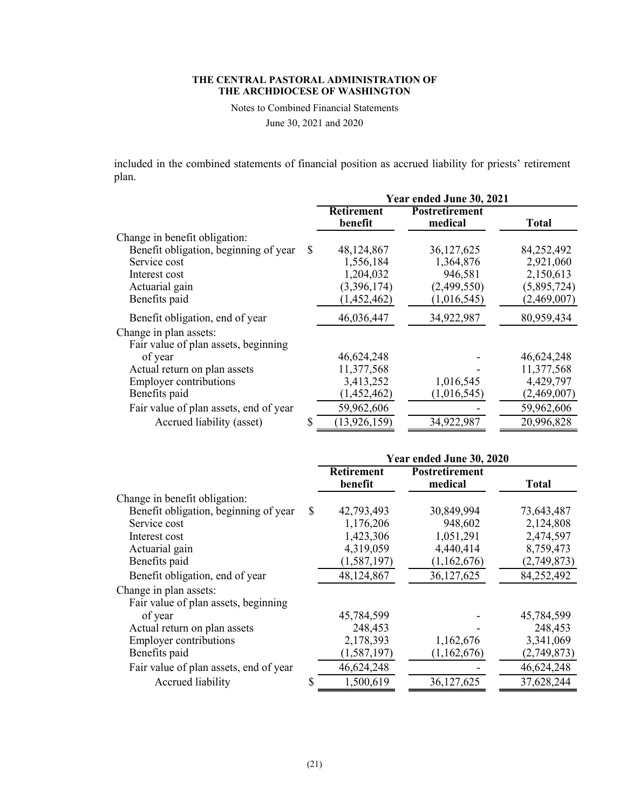Notes to Combined Financial Statements

June 30, 2021 and 2020

included in the combined statements of financial position as accrued liability for priests' retirement plan.

|                                        |   | Year ended June 30, 2021 |                                  |              |  |
|----------------------------------------|---|--------------------------|----------------------------------|--------------|--|
|                                        |   | Retirement<br>benefit    | <b>Postretirement</b><br>medical | <b>Total</b> |  |
| Change in benefit obligation:          |   |                          |                                  |              |  |
| Benefit obligation, beginning of year  | S | 48,124,867               | 36,127,625                       | 84,252,492   |  |
| Service cost                           |   | 1,556,184                | 1,364,876                        | 2,921,060    |  |
| Interest cost                          |   | 1,204,032                | 946,581                          | 2,150,613    |  |
| Actuarial gain                         |   | (3,396,174)              | (2,499,550)                      | (5,895,724)  |  |
| Benefits paid                          |   | (1,452,462)              | (1,016,545)                      | (2,469,007)  |  |
| Benefit obligation, end of year        |   | 46,036,447               | 34,922,987                       | 80,959,434   |  |
| Change in plan assets:                 |   |                          |                                  |              |  |
| Fair value of plan assets, beginning   |   |                          |                                  |              |  |
| of year                                |   | 46,624,248               |                                  | 46,624,248   |  |
| Actual return on plan assets           |   | 11,377,568               |                                  | 11,377,568   |  |
| <b>Employer contributions</b>          |   | 3,413,252                | 1,016,545                        | 4,429,797    |  |
| Benefits paid                          |   | (1,452,462)              | (1,016,545)                      | (2,469,007)  |  |
| Fair value of plan assets, end of year |   | 59,962,606               |                                  | 59,962,606   |  |
| Accrued liability (asset)              | S | (13, 926, 159)           | 34,922,987                       | 20,996,828   |  |

|                                        |    | Year ended June 30, 2020     |                                  |              |  |
|----------------------------------------|----|------------------------------|----------------------------------|--------------|--|
|                                        |    | <b>Retirement</b><br>benefit | <b>Postretirement</b><br>medical | <b>Total</b> |  |
| Change in benefit obligation:          |    |                              |                                  |              |  |
| Benefit obligation, beginning of year  | \$ | 42,793,493                   | 30,849,994                       | 73,643,487   |  |
| Service cost                           |    | 1,176,206                    | 948,602                          | 2,124,808    |  |
| Interest cost                          |    | 1,423,306                    | 1,051,291                        | 2,474,597    |  |
| Actuarial gain                         |    | 4,319,059                    | 4,440,414                        | 8,759,473    |  |
| Benefits paid                          |    | (1,587,197)                  | (1,162,676)                      | (2,749,873)  |  |
| Benefit obligation, end of year        |    | 48,124,867                   | 36,127,625                       | 84,252,492   |  |
| Change in plan assets:                 |    |                              |                                  |              |  |
| Fair value of plan assets, beginning   |    |                              |                                  |              |  |
| of year                                |    | 45,784,599                   |                                  | 45,784,599   |  |
| Actual return on plan assets           |    | 248,453                      |                                  | 248,453      |  |
| <b>Employer contributions</b>          |    | 2,178,393                    | 1,162,676                        | 3,341,069    |  |
| Benefits paid                          |    | (1, 587, 197)                | (1,162,676)                      | (2,749,873)  |  |
| Fair value of plan assets, end of year |    | 46,624,248                   |                                  | 46,624,248   |  |
| Accrued liability                      | S  | 1,500,619                    | 36,127,625                       | 37,628,244   |  |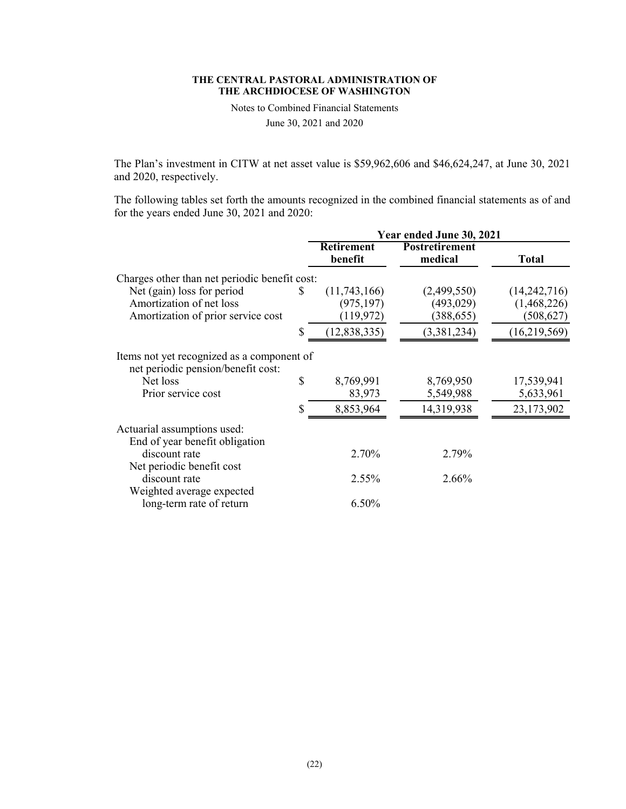Notes to Combined Financial Statements

June 30, 2021 and 2020

The Plan's investment in CITW at net asset value is \$59,962,606 and \$46,624,247, at June 30, 2021 and 2020, respectively.

The following tables set forth the amounts recognized in the combined financial statements as of and for the years ended June 30, 2021 and 2020:

|                                                                                  |    | Year ended June 30, 2021     |                                  |              |  |
|----------------------------------------------------------------------------------|----|------------------------------|----------------------------------|--------------|--|
|                                                                                  |    | <b>Retirement</b><br>benefit | <b>Postretirement</b><br>medical | Total        |  |
| Charges other than net periodic benefit cost:                                    |    |                              |                                  |              |  |
| Net (gain) loss for period                                                       | S. | (11,743,166)                 | (2,499,550)                      | (14,242,716) |  |
| Amortization of net loss                                                         |    | (975, 197)                   | (493, 029)                       | (1,468,226)  |  |
| Amortization of prior service cost                                               |    | (119, 972)                   | (388, 655)                       | (508, 627)   |  |
|                                                                                  | \$ | (12, 838, 335)               | (3,381,234)                      | (16,219,569) |  |
| Items not yet recognized as a component of<br>net periodic pension/benefit cost: |    |                              |                                  |              |  |
| Net loss                                                                         | \$ | 8,769,991                    | 8,769,950                        | 17,539,941   |  |
| Prior service cost                                                               |    | 83,973                       | 5,549,988                        | 5,633,961    |  |
|                                                                                  | \$ | 8,853,964                    | 14,319,938                       | 23,173,902   |  |
| Actuarial assumptions used:<br>End of year benefit obligation                    |    |                              |                                  |              |  |
| discount rate                                                                    |    | 2.70%                        | 2.79%                            |              |  |
| Net periodic benefit cost<br>discount rate                                       |    | 2.55%                        | $2.66\%$                         |              |  |
| Weighted average expected                                                        |    |                              |                                  |              |  |
| long-term rate of return                                                         |    | 6.50%                        |                                  |              |  |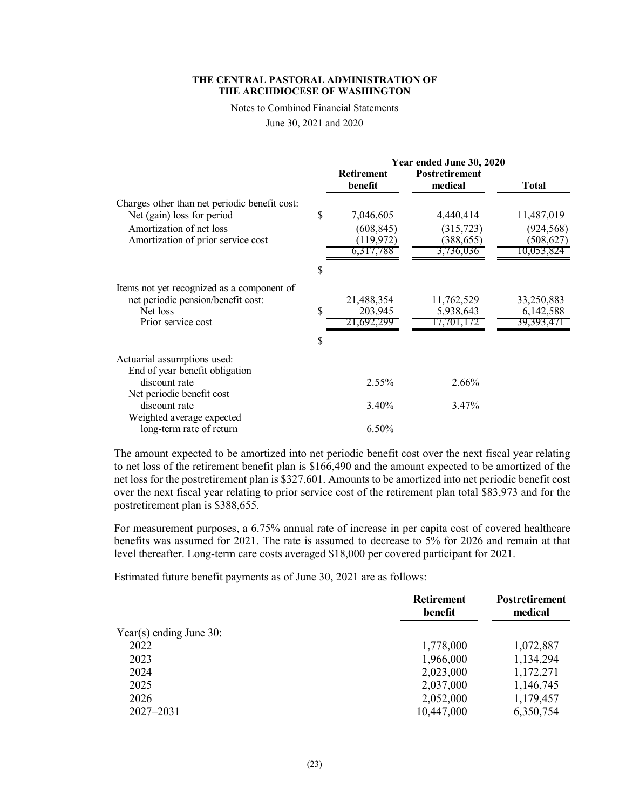Notes to Combined Financial Statements

June 30, 2021 and 2020

|                                                                                                                                               | Year ended June 30, 2020                                 |                                                    |                                                      |
|-----------------------------------------------------------------------------------------------------------------------------------------------|----------------------------------------------------------|----------------------------------------------------|------------------------------------------------------|
|                                                                                                                                               | <b>Retirement</b><br>benefit                             | <b>Postretirement</b><br>medical                   | <b>Total</b>                                         |
| Charges other than net periodic benefit cost:<br>Net (gain) loss for period<br>Amortization of net loss<br>Amortization of prior service cost | \$<br>7,046,605<br>(608, 845)<br>(119, 972)<br>6,317,788 | 4,440,414<br>(315, 723)<br>(388, 655)<br>3,736,036 | 11,487,019<br>(924, 568)<br>(508, 627)<br>10,053,824 |
|                                                                                                                                               | \$                                                       |                                                    |                                                      |
| Items not yet recognized as a component of<br>net periodic pension/benefit cost:<br>Net loss<br>Prior service cost                            | 21,488,354<br>\$<br>203,945<br>21.692.299<br>\$          | 11,762,529<br>5,938,643<br>17,701,17               | 33,250,883<br>6,142,588<br>39,393,471                |
| Actuarial assumptions used:<br>End of year benefit obligation<br>discount rate                                                                | $2.55\%$                                                 | 2.66%                                              |                                                      |
| Net periodic benefit cost<br>discount rate<br>Weighted average expected<br>long-term rate of return                                           | 3.40%<br>6.50%                                           | 3.47%                                              |                                                      |

The amount expected to be amortized into net periodic benefit cost over the next fiscal year relating to net loss of the retirement benefit plan is \$166,490 and the amount expected to be amortized of the net loss for the postretirement plan is \$327,601. Amounts to be amortized into net periodic benefit cost over the next fiscal year relating to prior service cost of the retirement plan total \$83,973 and for the postretirement plan is \$388,655.

For measurement purposes, a 6.75% annual rate of increase in per capita cost of covered healthcare benefits was assumed for 2021. The rate is assumed to decrease to 5% for 2026 and remain at that level thereafter. Long-term care costs averaged \$18,000 per covered participant for 2021.

Estimated future benefit payments as of June 30, 2021 are as follows:

|                            | <b>Retirement</b><br>benefit | <b>Postretirement</b><br>medical |
|----------------------------|------------------------------|----------------------------------|
| Year(s) ending June $30$ : |                              |                                  |
| 2022                       | 1,778,000                    | 1,072,887                        |
| 2023                       | 1,966,000                    | 1,134,294                        |
| 2024                       | 2,023,000                    | 1,172,271                        |
| 2025                       | 2,037,000                    | 1,146,745                        |
| 2026                       | 2,052,000                    | 1,179,457                        |
| $2027 - 2031$              | 10,447,000                   | 6,350,754                        |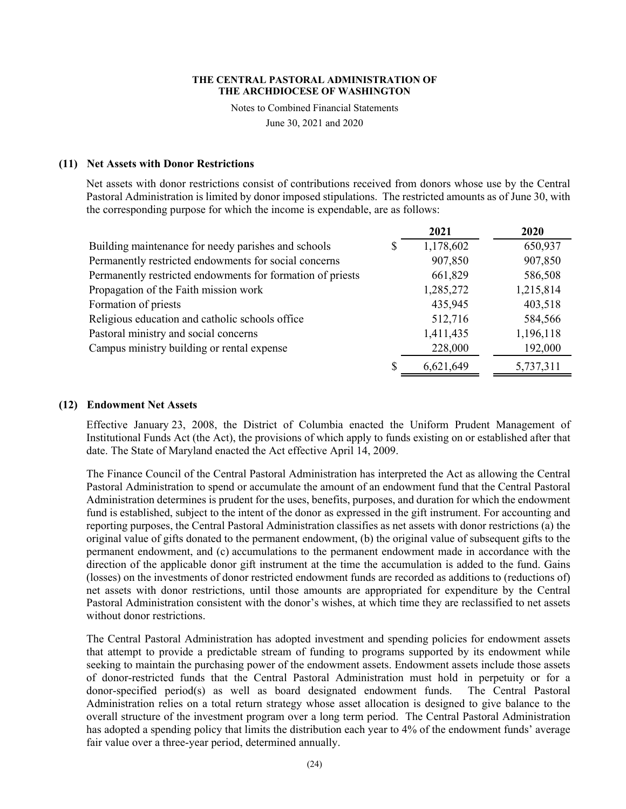Notes to Combined Financial Statements

June 30, 2021 and 2020

### **(11) Net Assets with Donor Restrictions**

Net assets with donor restrictions consist of contributions received from donors whose use by the Central Pastoral Administration is limited by donor imposed stipulations. The restricted amounts as of June 30, with the corresponding purpose for which the income is expendable, are as follows:

|                                                            |   | 2021      | 2020      |
|------------------------------------------------------------|---|-----------|-----------|
| Building maintenance for needy parishes and schools        | S | 1,178,602 | 650,937   |
| Permanently restricted endowments for social concerns      |   | 907,850   | 907,850   |
| Permanently restricted endowments for formation of priests |   | 661,829   | 586,508   |
| Propagation of the Faith mission work                      |   | 1,285,272 | 1,215,814 |
| Formation of priests                                       |   | 435,945   | 403,518   |
| Religious education and catholic schools office            |   | 512,716   | 584,566   |
| Pastoral ministry and social concerns                      |   | 1,411,435 | 1,196,118 |
| Campus ministry building or rental expense                 |   | 228,000   | 192,000   |
|                                                            |   | 6,621,649 | 5,737,311 |

### **(12) Endowment Net Assets**

Effective January 23, 2008, the District of Columbia enacted the Uniform Prudent Management of Institutional Funds Act (the Act), the provisions of which apply to funds existing on or established after that date. The State of Maryland enacted the Act effective April 14, 2009.

The Finance Council of the Central Pastoral Administration has interpreted the Act as allowing the Central Pastoral Administration to spend or accumulate the amount of an endowment fund that the Central Pastoral Administration determines is prudent for the uses, benefits, purposes, and duration for which the endowment fund is established, subject to the intent of the donor as expressed in the gift instrument. For accounting and reporting purposes, the Central Pastoral Administration classifies as net assets with donor restrictions (a) the original value of gifts donated to the permanent endowment, (b) the original value of subsequent gifts to the permanent endowment, and (c) accumulations to the permanent endowment made in accordance with the direction of the applicable donor gift instrument at the time the accumulation is added to the fund. Gains (losses) on the investments of donor restricted endowment funds are recorded as additions to (reductions of) net assets with donor restrictions, until those amounts are appropriated for expenditure by the Central Pastoral Administration consistent with the donor's wishes, at which time they are reclassified to net assets without donor restrictions.

The Central Pastoral Administration has adopted investment and spending policies for endowment assets that attempt to provide a predictable stream of funding to programs supported by its endowment while seeking to maintain the purchasing power of the endowment assets. Endowment assets include those assets of donor-restricted funds that the Central Pastoral Administration must hold in perpetuity or for a donor-specified period(s) as well as board designated endowment funds. The Central Pastoral Administration relies on a total return strategy whose asset allocation is designed to give balance to the overall structure of the investment program over a long term period. The Central Pastoral Administration has adopted a spending policy that limits the distribution each year to 4% of the endowment funds' average fair value over a three-year period, determined annually.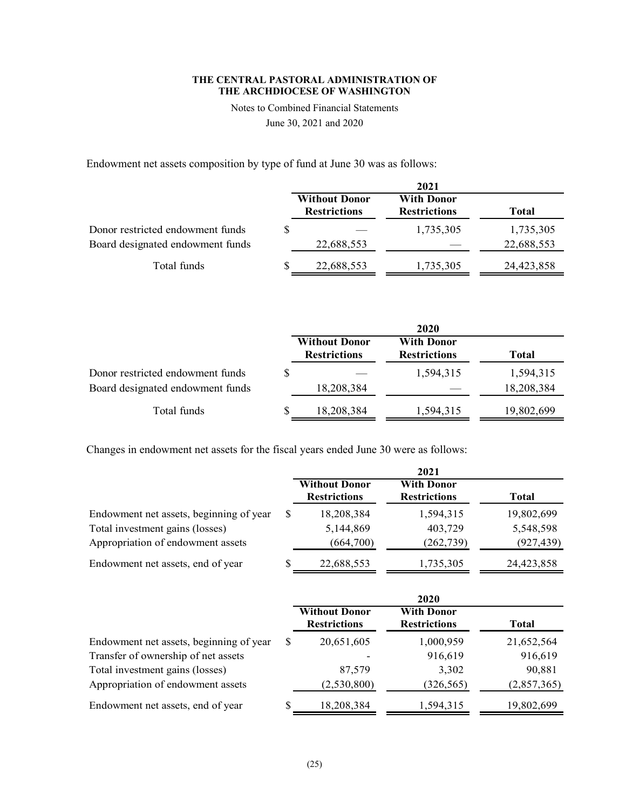Notes to Combined Financial Statements

June 30, 2021 and 2020

Endowment net assets composition by type of fund at June 30 was as follows:

|                                  | 2021                                        |                                          |              |  |
|----------------------------------|---------------------------------------------|------------------------------------------|--------------|--|
|                                  | <b>Without Donor</b><br><b>Restrictions</b> | <b>With Donor</b><br><b>Restrictions</b> | <b>Total</b> |  |
| Donor restricted endowment funds |                                             | 1,735,305                                | 1,735,305    |  |
| Board designated endowment funds | 22,688,553                                  |                                          | 22,688,553   |  |
| Total funds                      | 22,688,553                                  | 1,735,305                                | 24,423,858   |  |

|                                  |  |                                             | 2020                                     |            |
|----------------------------------|--|---------------------------------------------|------------------------------------------|------------|
|                                  |  | <b>Without Donor</b><br><b>Restrictions</b> | <b>With Donor</b><br><b>Restrictions</b> | Total      |
| Donor restricted endowment funds |  |                                             | 1,594,315                                | 1,594,315  |
| Board designated endowment funds |  | 18,208,384                                  |                                          | 18,208,384 |
| Total funds                      |  | 18,208,384                                  | 1,594,315                                | 19,802,699 |

Changes in endowment net assets for the fiscal years ended June 30 were as follows:

|                                         |                                             | 2021                                     |            |
|-----------------------------------------|---------------------------------------------|------------------------------------------|------------|
|                                         | <b>Without Donor</b><br><b>Restrictions</b> | <b>With Donor</b><br><b>Restrictions</b> | Total      |
| Endowment net assets, beginning of year | 18,208,384                                  | 1,594,315                                | 19,802,699 |
| Total investment gains (losses)         | 5,144,869                                   | 403,729                                  | 5,548,598  |
| Appropriation of endowment assets       | (664,700)                                   | (262, 739)                               | (927, 439) |
| Endowment net assets, end of year       | 22,688,553                                  | 1,735,305                                | 24,423,858 |

|                                         |   |                                             | 2020                                     |             |
|-----------------------------------------|---|---------------------------------------------|------------------------------------------|-------------|
|                                         |   | <b>Without Donor</b><br><b>Restrictions</b> | <b>With Donor</b><br><b>Restrictions</b> | Total       |
| Endowment net assets, beginning of year | S | 20,651,605                                  | 1,000,959                                | 21,652,564  |
| Transfer of ownership of net assets     |   |                                             | 916,619                                  | 916,619     |
| Total investment gains (losses)         |   | 87,579                                      | 3,302                                    | 90,881      |
| Appropriation of endowment assets       |   | (2,530,800)                                 | (326, 565)                               | (2,857,365) |
| Endowment net assets, end of year       |   | 18,208,384                                  | 1,594,315                                | 19,802,699  |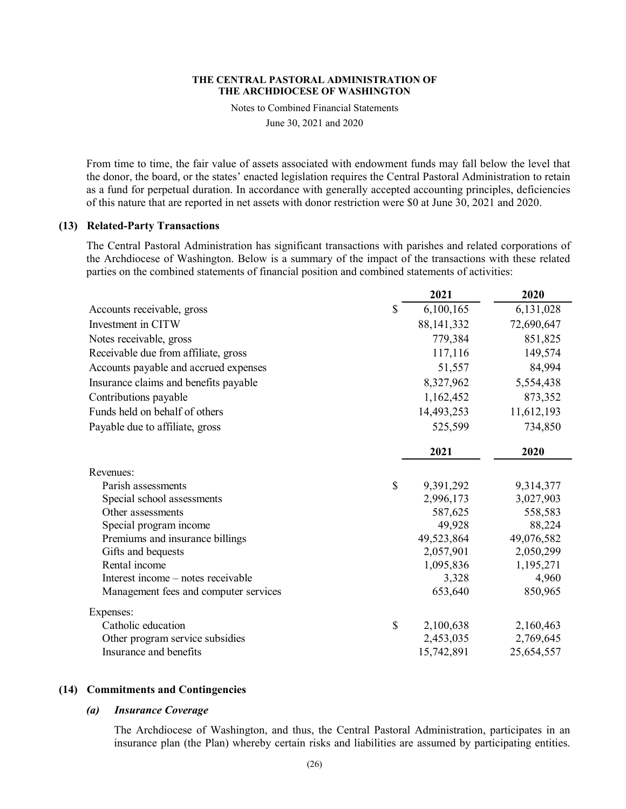Notes to Combined Financial Statements

June 30, 2021 and 2020

From time to time, the fair value of assets associated with endowment funds may fall below the level that the donor, the board, or the states' enacted legislation requires the Central Pastoral Administration to retain as a fund for perpetual duration. In accordance with generally accepted accounting principles, deficiencies of this nature that are reported in net assets with donor restriction were \$0 at June 30, 2021 and 2020.

# **(13) Related-Party Transactions**

The Central Pastoral Administration has significant transactions with parishes and related corporations of the Archdiocese of Washington. Below is a summary of the impact of the transactions with these related parties on the combined statements of financial position and combined statements of activities:

|                                       | 2021            | 2020       |
|---------------------------------------|-----------------|------------|
| Accounts receivable, gross            | \$<br>6,100,165 | 6,131,028  |
| Investment in CITW                    | 88, 141, 332    | 72,690,647 |
| Notes receivable, gross               | 779,384         | 851,825    |
| Receivable due from affiliate, gross  | 117,116         | 149,574    |
| Accounts payable and accrued expenses | 51,557          | 84,994     |
| Insurance claims and benefits payable | 8,327,962       | 5,554,438  |
| Contributions payable                 | 1,162,452       | 873,352    |
| Funds held on behalf of others        | 14,493,253      | 11,612,193 |
| Payable due to affiliate, gross       | 525,599         | 734,850    |
|                                       | 2021            | 2020       |
| Revenues:                             |                 |            |
| Parish assessments                    | \$<br>9,391,292 | 9,314,377  |
| Special school assessments            | 2,996,173       | 3,027,903  |
| Other assessments                     | 587,625         | 558,583    |
| Special program income                | 49,928          | 88,224     |
| Premiums and insurance billings       | 49,523,864      | 49,076,582 |
| Gifts and bequests                    | 2,057,901       | 2,050,299  |
| Rental income                         | 1,095,836       | 1,195,271  |
| Interest income – notes receivable    | 3,328           | 4,960      |
| Management fees and computer services | 653,640         | 850,965    |
| Expenses:                             |                 |            |
| Catholic education                    | \$<br>2,100,638 | 2,160,463  |
| Other program service subsidies       | 2,453,035       | 2,769,645  |
| Insurance and benefits                | 15,742,891      | 25,654,557 |

### **(14) Commitments and Contingencies**

# *(a) Insurance Coverage*

The Archdiocese of Washington, and thus, the Central Pastoral Administration, participates in an insurance plan (the Plan) whereby certain risks and liabilities are assumed by participating entities.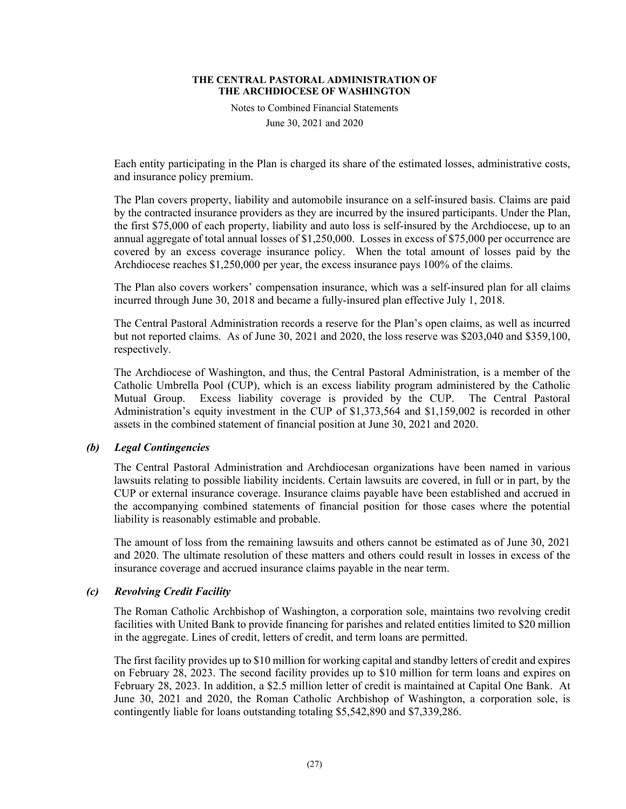Notes to Combined Financial Statements

June 30, 2021 and 2020

Each entity participating in the Plan is charged its share of the estimated losses, administrative costs, and insurance policy premium.

The Plan covers property, liability and automobile insurance on a self-insured basis. Claims are paid by the contracted insurance providers as they are incurred by the insured participants. Under the Plan, the first \$75,000 of each property, liability and auto loss is self-insured by the Archdiocese, up to an annual aggregate of total annual losses of \$1,250,000. Losses in excess of \$75,000 per occurrence are covered by an excess coverage insurance policy. When the total amount of losses paid by the Archdiocese reaches \$1,250,000 per year, the excess insurance pays 100% of the claims.

The Plan also covers workers' compensation insurance, which was a self-insured plan for all claims incurred through June 30, 2018 and became a fully-insured plan effective July 1, 2018.

The Central Pastoral Administration records a reserve for the Plan's open claims, as well as incurred but not reported claims. As of June 30, 2021 and 2020, the loss reserve was \$203,040 and \$359,100, respectively.

The Archdiocese of Washington, and thus, the Central Pastoral Administration, is a member of the Catholic Umbrella Pool (CUP), which is an excess liability program administered by the Catholic Mutual Group. Excess liability coverage is provided by the CUP. The Central Pastoral Administration's equity investment in the CUP of \$1,373,564 and \$1,159,002 is recorded in other assets in the combined statement of financial position at June 30, 2021 and 2020.

# *(b) Legal Contingencies*

The Central Pastoral Administration and Archdiocesan organizations have been named in various lawsuits relating to possible liability incidents. Certain lawsuits are covered, in full or in part, by the CUP or external insurance coverage. Insurance claims payable have been established and accrued in the accompanying combined statements of financial position for those cases where the potential liability is reasonably estimable and probable.

The amount of loss from the remaining lawsuits and others cannot be estimated as of June 30, 2021 and 2020. The ultimate resolution of these matters and others could result in losses in excess of the insurance coverage and accrued insurance claims payable in the near term.

### *(c) Revolving Credit Facility*

The Roman Catholic Archbishop of Washington, a corporation sole, maintains two revolving credit facilities with United Bank to provide financing for parishes and related entities limited to \$20 million in the aggregate. Lines of credit, letters of credit, and term loans are permitted.

The first facility provides up to \$10 million for working capital and standby letters of credit and expires on February 28, 2023. The second facility provides up to \$10 million for term loans and expires on February 28, 2023. In addition, a \$2.5 million letter of credit is maintained at Capital One Bank. At June 30, 2021 and 2020, the Roman Catholic Archbishop of Washington, a corporation sole, is contingently liable for loans outstanding totaling \$5,542,890 and \$7,339,286.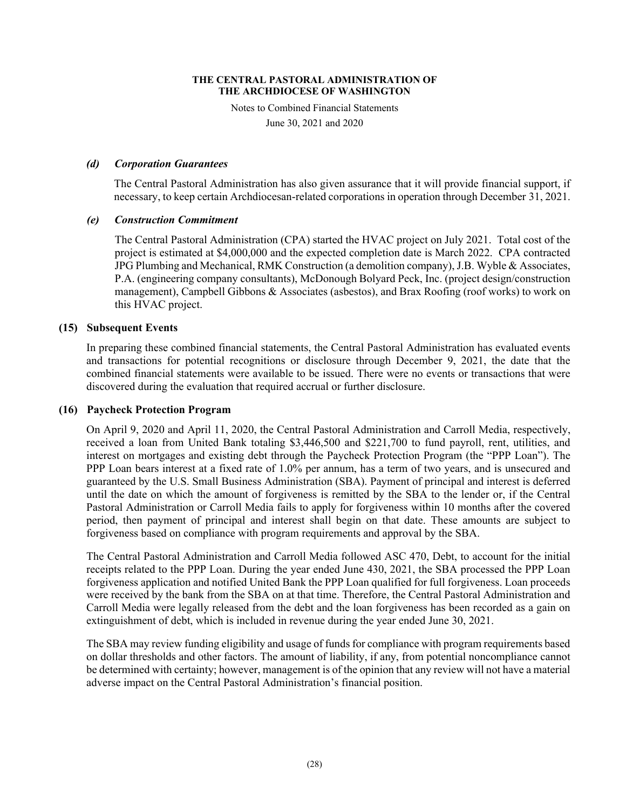Notes to Combined Financial Statements

June 30, 2021 and 2020

# *(d) Corporation Guarantees*

The Central Pastoral Administration has also given assurance that it will provide financial support, if necessary, to keep certain Archdiocesan-related corporations in operation through December 31, 2021.

# *(e) Construction Commitment*

The Central Pastoral Administration (CPA) started the HVAC project on July 2021. Total cost of the project is estimated at \$4,000,000 and the expected completion date is March 2022. CPA contracted JPG Plumbing and Mechanical, RMK Construction (a demolition company), J.B. Wyble & Associates, P.A. (engineering company consultants), McDonough Bolyard Peck, Inc. (project design/construction management), Campbell Gibbons & Associates (asbestos), and Brax Roofing (roof works) to work on this HVAC project.

# **(15) Subsequent Events**

In preparing these combined financial statements, the Central Pastoral Administration has evaluated events and transactions for potential recognitions or disclosure through December 9, 2021, the date that the combined financial statements were available to be issued. There were no events or transactions that were discovered during the evaluation that required accrual or further disclosure.

### **(16) Paycheck Protection Program**

On April 9, 2020 and April 11, 2020, the Central Pastoral Administration and Carroll Media, respectively, received a loan from United Bank totaling \$3,446,500 and \$221,700 to fund payroll, rent, utilities, and interest on mortgages and existing debt through the Paycheck Protection Program (the "PPP Loan"). The PPP Loan bears interest at a fixed rate of 1.0% per annum, has a term of two years, and is unsecured and guaranteed by the U.S. Small Business Administration (SBA). Payment of principal and interest is deferred until the date on which the amount of forgiveness is remitted by the SBA to the lender or, if the Central Pastoral Administration or Carroll Media fails to apply for forgiveness within 10 months after the covered period, then payment of principal and interest shall begin on that date. These amounts are subject to forgiveness based on compliance with program requirements and approval by the SBA.

The Central Pastoral Administration and Carroll Media followed ASC 470, Debt, to account for the initial receipts related to the PPP Loan. During the year ended June 430, 2021, the SBA processed the PPP Loan forgiveness application and notified United Bank the PPP Loan qualified for full forgiveness. Loan proceeds were received by the bank from the SBA on at that time. Therefore, the Central Pastoral Administration and Carroll Media were legally released from the debt and the loan forgiveness has been recorded as a gain on extinguishment of debt, which is included in revenue during the year ended June 30, 2021.

The SBA may review funding eligibility and usage of funds for compliance with program requirements based on dollar thresholds and other factors. The amount of liability, if any, from potential noncompliance cannot be determined with certainty; however, management is of the opinion that any review will not have a material adverse impact on the Central Pastoral Administration's financial position.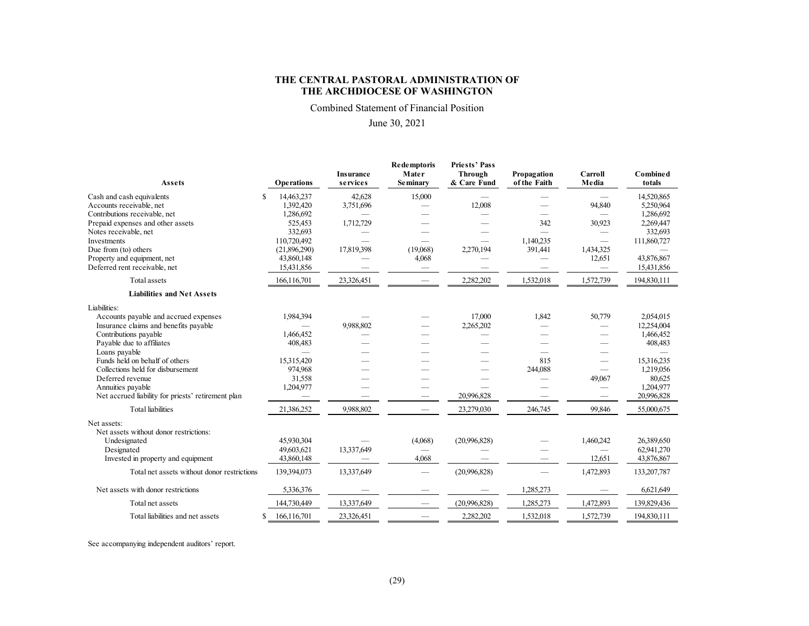Combined Statement of Financial Position

### June 30, 2021

| Assets                                                                                                                           | <b>Operations</b>                               | <b>Insurance</b><br>services     | <b>Redemptoris</b><br>Mater<br><b>Seminary</b> | <b>Priests' Pass</b><br>Through<br>& Care Fund | Propagation<br>of the Faith                      | Carroll<br>Media                   | <b>Combined</b><br>totals                         |
|----------------------------------------------------------------------------------------------------------------------------------|-------------------------------------------------|----------------------------------|------------------------------------------------|------------------------------------------------|--------------------------------------------------|------------------------------------|---------------------------------------------------|
| S<br>Cash and cash equivalents<br>Accounts receivable, net<br>Contributions receivable, net<br>Prepaid expenses and other assets | 14,463,237<br>1,392,420<br>1,286,692<br>525,453 | 42,628<br>3,751,696<br>1,712,729 | 15,000                                         | 12,008                                         | 342                                              | 94,840<br>30,923                   | 14,520,865<br>5,250,964<br>1,286,692<br>2,269,447 |
| Notes receivable, net<br>Investments<br>Due from (to) others                                                                     | 332,693<br>110,720,492<br>(21,896,290)          | 17,819,398                       | (19,068)                                       | 2,270,194                                      | $\overline{\phantom{0}}$<br>1.140.235<br>391,441 | 1,434,325                          | 332,693<br>111,860,727                            |
| Property and equipment, net<br>Deferred rent receivable, net                                                                     | 43,860,148<br>15,431,856                        |                                  | 4,068                                          |                                                |                                                  | 12,651                             | 43,876,867<br>15,431,856                          |
| Total assets                                                                                                                     | 166,116,701                                     | 23,326,451                       |                                                | 2,282,202                                      | 1,532,018                                        | 1,572,739                          | 194,830,111                                       |
| <b>Liabilities and Net Assets</b>                                                                                                |                                                 |                                  |                                                |                                                |                                                  |                                    |                                                   |
| Liabilities:                                                                                                                     |                                                 |                                  |                                                |                                                |                                                  |                                    |                                                   |
| Accounts payable and accrued expenses<br>Insurance claims and benefits payable                                                   | 1,984,394                                       | 9,988,802                        |                                                | 17,000<br>2,265,202                            | 1,842                                            | 50,779<br>$\overline{\phantom{0}}$ | 2.054.015<br>12,254,004                           |
| Contributions payable                                                                                                            | 1,466,452                                       |                                  |                                                |                                                |                                                  | $\overline{\phantom{0}}$           | 1,466,452                                         |
| Payable due to affiliates                                                                                                        | 408,483                                         |                                  |                                                |                                                |                                                  | $\overline{\phantom{a}}$           | 408,483                                           |
| Loans payable<br>Funds held on behalf of others                                                                                  |                                                 |                                  |                                                |                                                | 815                                              | $\overline{\phantom{a}}$           |                                                   |
| Collections held for disbursement                                                                                                | 15,315,420<br>974,968                           |                                  |                                                |                                                | 244,088                                          | $\overline{\phantom{0}}$           | 15,316,235<br>1,219,056                           |
| Deferred revenue                                                                                                                 | 31,558                                          |                                  |                                                |                                                |                                                  | 49,067                             | 80,625                                            |
| Annuities payable                                                                                                                | 1,204,977                                       |                                  |                                                |                                                |                                                  |                                    | 1,204,977                                         |
| Net accrued liability for priests' retirement plan                                                                               |                                                 |                                  |                                                | 20,996,828                                     |                                                  |                                    | 20,996,828                                        |
| <b>Total liabilities</b>                                                                                                         | 21,386,252                                      | 9,988,802                        |                                                | 23,279,030                                     | 246,745                                          | 99,846                             | 55,000,675                                        |
| Net assets:<br>Net assets without donor restrictions:                                                                            |                                                 |                                  |                                                |                                                |                                                  |                                    |                                                   |
| Undesignated                                                                                                                     | 45.930.304                                      |                                  | (4,068)                                        | (20,996,828)                                   |                                                  | 1,460,242                          | 26,389,650                                        |
| Designated                                                                                                                       | 49,603,621                                      | 13,337,649                       |                                                |                                                |                                                  |                                    | 62,941,270                                        |
| Invested in property and equipment                                                                                               | 43,860,148                                      |                                  | 4,068                                          |                                                |                                                  | 12,651                             | 43,876,867                                        |
| Total net assets without donor restrictions                                                                                      | 139,394,073                                     | 13,337,649                       | $\overline{\phantom{0}}$                       | (20,996,828)                                   |                                                  | 1,472,893                          | 133,207,787                                       |
| Net assets with donor restrictions                                                                                               | 5,336,376                                       |                                  |                                                |                                                | 1,285,273                                        |                                    | 6,621,649                                         |
| Total net assets                                                                                                                 | 144,730,449                                     | 13,337,649                       |                                                | (20,996,828)                                   | 1,285,273                                        | 1,472,893                          | 139,829,436                                       |
| Total liabilities and net assets<br>S                                                                                            | 166, 116, 701                                   | 23,326,451                       |                                                | 2.282.202                                      | 1,532,018                                        | 1,572,739                          | 194,830,111                                       |

See accompanying independent auditors' report.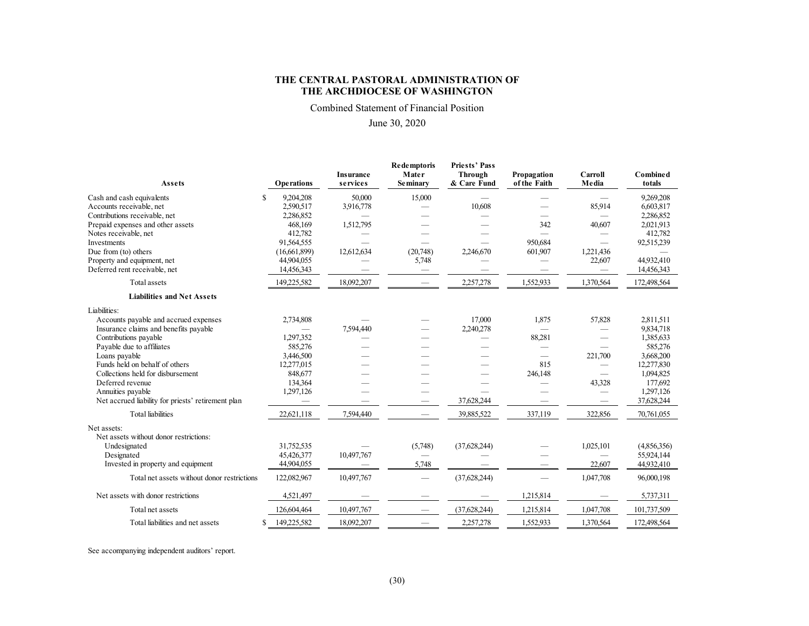Combined Statement of Financial Position

### June 30, 2020

| Assets                                             | <b>Operations</b> | <b>Insurance</b><br>services | <b>Redemptoris</b><br>Mater<br><b>Seminary</b> | <b>Priests' Pass</b><br>Through<br>& Care Fund | Propagation<br>of the Faith | Carroll<br>Media         | <b>Combined</b><br>totals |
|----------------------------------------------------|-------------------|------------------------------|------------------------------------------------|------------------------------------------------|-----------------------------|--------------------------|---------------------------|
| S<br>Cash and cash equivalents                     | 9,204,208         | 50,000                       | 15,000                                         |                                                |                             |                          | 9,269,208                 |
| Accounts receivable, net                           | 2,590,517         | 3,916,778                    |                                                | 10,608                                         |                             | 85,914                   | 6,603,817                 |
| Contributions receivable, net                      | 2,286,852         |                              |                                                |                                                |                             |                          | 2,286,852                 |
| Prepaid expenses and other assets                  | 468,169           | 1,512,795                    |                                                |                                                | 342                         | 40,607                   | 2,021,913                 |
| Notes receivable, net                              | 412,782           |                              |                                                |                                                |                             |                          | 412,782                   |
| Investments                                        | 91,564,555        |                              |                                                |                                                | 950,684                     |                          | 92,515,239                |
| Due from (to) others                               | (16,661,899)      | 12,612,634                   | (20,748)                                       | 2,246,670                                      | 601,907                     | 1,221,436                |                           |
| Property and equipment, net                        | 44,904,055        |                              | 5,748                                          |                                                |                             | 22,607                   | 44,932,410                |
| Deferred rent receivable, net                      | 14,456,343        |                              |                                                |                                                |                             |                          | 14,456,343                |
| Total assets                                       | 149,225,582       | 18,092,207                   |                                                | 2,257,278                                      | 1,552,933                   | 1,370,564                | 172,498,564               |
| <b>Liabilities and Net Assets</b>                  |                   |                              |                                                |                                                |                             |                          |                           |
| Liabilities:                                       |                   |                              |                                                |                                                |                             |                          |                           |
| Accounts payable and accrued expenses              | 2,734,808         |                              |                                                | 17,000                                         | 1,875                       | 57,828                   | 2,811,511                 |
| Insurance claims and benefits payable              |                   | 7,594,440                    |                                                | 2,240,278                                      |                             |                          | 9,834,718                 |
| Contributions payable                              | 1,297,352         |                              |                                                |                                                | 88,281                      |                          | 1,385,633                 |
| Payable due to affiliates                          | 585,276           |                              |                                                |                                                |                             |                          | 585,276                   |
| Loans payable                                      | 3,446,500         |                              |                                                |                                                |                             | 221,700                  | 3,668,200                 |
| Funds held on behalf of others                     | 12,277,015        |                              |                                                |                                                | 815                         | $\overline{\phantom{0}}$ | 12,277,830                |
| Collections held for disbursement                  | 848,677           |                              |                                                |                                                | 246,148                     | $\overline{\phantom{0}}$ | 1,094,825                 |
| Deferred revenue                                   | 134,364           |                              |                                                |                                                |                             | 43,328                   | 177,692                   |
| Annuities payable                                  | 1,297,126         |                              |                                                |                                                |                             | $\overline{\phantom{0}}$ | 1,297,126                 |
| Net accrued liability for priests' retirement plan |                   |                              |                                                | 37,628,244                                     |                             |                          | 37,628,244                |
| Total liabilities                                  | 22,621,118        | 7,594,440                    |                                                | 39,885,522                                     | 337,119                     | 322,856                  | 70,761,055                |
| Net assets:                                        |                   |                              |                                                |                                                |                             |                          |                           |
| Net assets without donor restrictions:             |                   |                              |                                                |                                                |                             |                          |                           |
| Undesignated                                       | 31,752,535        |                              | (5,748)                                        | (37, 628, 244)                                 |                             | 1,025,101                | (4,856,356)               |
| Designated                                         | 45,426,377        | 10,497,767                   |                                                |                                                |                             | $\overline{\phantom{0}}$ | 55,924,144                |
| Invested in property and equipment                 | 44,904,055        |                              | 5,748                                          |                                                |                             | 22,607                   | 44,932,410                |
| Total net assets without donor restrictions        | 122,082,967       | 10,497,767                   | $\overline{\phantom{0}}$                       | (37, 628, 244)                                 |                             | 1,047,708                | 96,000,198                |
| Net assets with donor restrictions                 | 4,521,497         |                              |                                                |                                                | 1,215,814                   |                          | 5,737,311                 |
| Total net assets                                   | 126,604,464       | 10,497,767                   |                                                | (37,628,244)                                   | 1,215,814                   | 1,047,708                | 101,737,509               |
| Total liabilities and net assets<br>\$             | 149.225.582       | 18,092,207                   |                                                | 2,257,278                                      | 1,552,933                   | 1,370,564                | 172,498,564               |

See accompanying independent auditors' report.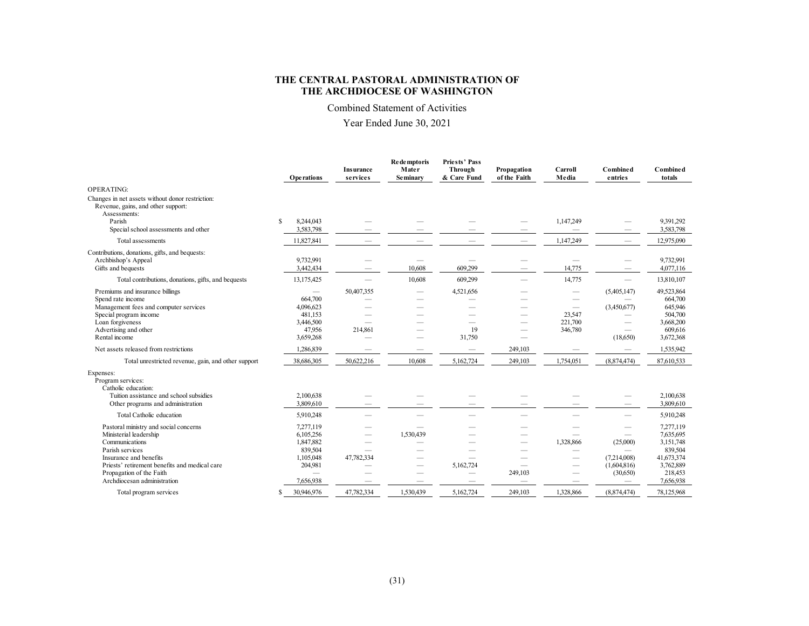Combined Statement of Activities

Year Ended June 30, 2021

|                                                                                                                                                                                                                                            | Operations                                                                                                      | <b>Insurance</b><br>services | Re de mptoris<br>Mater<br>Se minary | <b>Priests' Pass</b><br>Through<br>& Care Fund                                    | Propagation<br>of the Faith | Carroll<br>Media                                                   | Combined<br>entries                                                | <b>Combined</b><br>totals                                                                         |
|--------------------------------------------------------------------------------------------------------------------------------------------------------------------------------------------------------------------------------------------|-----------------------------------------------------------------------------------------------------------------|------------------------------|-------------------------------------|-----------------------------------------------------------------------------------|-----------------------------|--------------------------------------------------------------------|--------------------------------------------------------------------|---------------------------------------------------------------------------------------------------|
| OPERATING:                                                                                                                                                                                                                                 |                                                                                                                 |                              |                                     |                                                                                   |                             |                                                                    |                                                                    |                                                                                                   |
| Changes in net assets without donor restriction:<br>Revenue, gains, and other support:<br>Assessments:                                                                                                                                     |                                                                                                                 |                              |                                     |                                                                                   |                             |                                                                    |                                                                    |                                                                                                   |
| Parish<br>Special school assessments and other                                                                                                                                                                                             | 8,244,043<br>S<br>3,583,798                                                                                     |                              |                                     |                                                                                   |                             | 1,147,249<br>$\sim$                                                |                                                                    | 9,391,292<br>3,583,798                                                                            |
| Total assessments                                                                                                                                                                                                                          | 11,827,841                                                                                                      |                              |                                     |                                                                                   | -                           | 1,147,249                                                          |                                                                    | 12,975,090                                                                                        |
| Contributions, donations, gifts, and bequests:<br>Archbishop's Appeal<br>Gifts and bequests                                                                                                                                                | 9,732,991<br>3,442,434                                                                                          |                              | -<br>10.608                         | $\overline{\phantom{a}}$<br>609.299                                               | -                           | $\overline{\phantom{a}}$<br>14,775                                 |                                                                    | 9,732,991<br>4,077,116                                                                            |
| Total contributions, donations, gifts, and bequests                                                                                                                                                                                        | 13,175,425                                                                                                      |                              | 10,608                              | 609,299                                                                           |                             | 14,775                                                             |                                                                    | 13,810,107                                                                                        |
| Premiums and insurance billings<br>Spend rate income<br>Management fees and computer services<br>Special program income<br>Loan forgiveness<br>Advertising and other<br>Rental income                                                      | $\overline{\phantom{a}}$<br>664,700<br>4,096,623<br>481,153<br>3,446,500<br>47.956<br>3,659,268                 | 50,407,355<br>214,861        | -<br>-<br>-                         | 4,521,656<br>$\overline{\phantom{a}}$<br>$\overline{\phantom{a}}$<br>19<br>31,750 | --                          | -<br>$\overline{\phantom{a}}$<br>-<br>23,547<br>221,700<br>346,780 | (5,405,147)<br>(3,450,677)<br>$\overline{\phantom{a}}$<br>(18,650) | 49,523,864<br>664,700<br>645,946<br>504,700<br>3,668,200<br>609,616<br>3,672,368                  |
| Net assets released from restrictions                                                                                                                                                                                                      | 1,286,839                                                                                                       |                              |                                     |                                                                                   | 249,103                     |                                                                    |                                                                    | 1,535,942                                                                                         |
| Total unrestricted revenue, gain, and other support                                                                                                                                                                                        | 38,686,305                                                                                                      | 50,622,216                   | 10,608                              | 5,162,724                                                                         | 249,103                     | 1,754,051                                                          | (8,874,474)                                                        | 87,610,533                                                                                        |
| Expenses:<br>Program services:<br>Catholic education:<br>Tuition assistance and school subsidies<br>Other programs and administration                                                                                                      | 2,100,638<br>3,809,610                                                                                          |                              |                                     |                                                                                   |                             |                                                                    |                                                                    | 2,100,638<br>3,809,610                                                                            |
| Total Catholic education                                                                                                                                                                                                                   | 5,910,248                                                                                                       |                              |                                     |                                                                                   |                             |                                                                    |                                                                    | 5,910,248                                                                                         |
| Pastoral ministry and social concerns<br>Ministerial leadership<br>Communications<br>Parish services<br>Insurance and benefits<br>Priests' retirement benefits and medical care<br>Propagation of the Faith<br>Archdiocesan administration | 7,277,119<br>6,105,256<br>1,847,882<br>839,504<br>1,105,048<br>204,981<br>$\overline{\phantom{m}}$<br>7,656,938 | 47,782,334                   | 1,530,439<br>--<br>-<br>-           | 5,162,724<br>-                                                                    | --<br>249,103               | 1,328,866<br>-<br>-                                                | -<br>(25,000)<br>(7.214,008)<br>(1,604,816)<br>(30,650)            | 7,277,119<br>7,635,695<br>3,151,748<br>839,504<br>41,673,374<br>3,762,889<br>218,453<br>7,656,938 |
| Total program services                                                                                                                                                                                                                     | 30,946,976<br>S                                                                                                 | 47,782,334                   | 1.530.439                           | 5.162.724                                                                         | 249,103                     | 1.328,866                                                          | (8,874,474)                                                        | 78,125,968                                                                                        |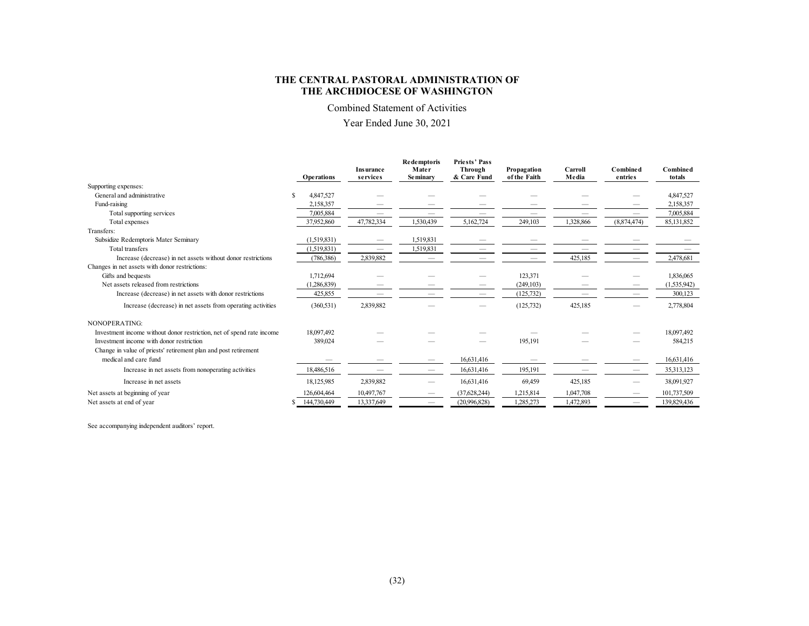Combined Statement of Activities

Year Ended June 30, 2021

|                                                                       |                   | <b>Insurance</b>         | <b>Redemptoris</b><br>Mater     | <b>Priests' Pass</b><br>Through | Propagation  | Carroll   | Combined    | <b>Combined</b> |
|-----------------------------------------------------------------------|-------------------|--------------------------|---------------------------------|---------------------------------|--------------|-----------|-------------|-----------------|
|                                                                       | <b>Operations</b> | services                 | Se minary                       | & Care Fund                     | of the Faith | Media     | entries     | totals          |
| Supporting expenses:                                                  |                   |                          |                                 |                                 |              |           |             |                 |
| General and administrative                                            | 4,847,527<br>S    |                          |                                 |                                 |              |           |             | 4,847,527       |
| Fund-raising                                                          | 2,158,357         |                          |                                 |                                 |              |           |             | 2,158,357       |
| Total supporting services                                             | 7,005,884         |                          |                                 |                                 |              |           |             | 7,005,884       |
| Total expenses                                                        | 37,952,860        | 47,782,334               | 1,530,439                       | 5,162,724                       | 249,103      | 1,328,866 | (8,874,474) | 85,131,852      |
| Transfers:                                                            |                   |                          |                                 |                                 |              |           |             |                 |
| Subsidize Redemptoris Mater Seminary                                  | (1,519,831)       | $\overline{\phantom{a}}$ | 1,519,831                       |                                 |              |           |             |                 |
| Total transfers                                                       | (1,519,831)       |                          | 1,519,831                       |                                 |              |           |             |                 |
| Increase (decrease) in net assets without donor restrictions          | (786,386)         | 2,839,882                |                                 |                                 |              | 425,185   |             | 2,478,681       |
| Changes in net assets with donor restrictions:                        |                   |                          |                                 |                                 |              |           |             |                 |
| Gifts and bequests                                                    | 1,712,694         |                          |                                 |                                 | 123,371      |           |             | 1,836,065       |
| Net assets released from restrictions                                 | 1,286,839)        |                          |                                 |                                 | (249, 103)   |           |             | (1,535,942)     |
| Increase (decrease) in net assets with donor restrictions             | 425,855           |                          |                                 |                                 | (125, 732)   |           |             | 300,123         |
| Increase (decrease) in net assets from operating activities           | (360, 531)        | 2,839,882                |                                 |                                 | (125, 732)   | 425,185   |             | 2,778,804       |
| NONOPERATING:                                                         |                   |                          |                                 |                                 |              |           |             |                 |
| Investment income without donor restriction, net of spend rate income | 18,097,492        |                          |                                 |                                 |              |           |             | 18,097,492      |
| Investment income with donor restriction                              | 389,024           |                          |                                 |                                 | 195,191      |           |             | 584,215         |
| Change in value of priests' retirement plan and post retirement       |                   |                          |                                 |                                 |              |           |             |                 |
| medical and care fund                                                 |                   |                          |                                 | 16,631,416                      |              |           |             | 16,631,416      |
| Increase in net assets from nonoperating activities                   | 18,486,516        |                          | -                               | 16,631,416                      | 195,191      |           |             | 35,313,123      |
| Increase in net assets                                                | 18,125,985        | 2,839,882                |                                 | 16,631,416                      | 69,459       | 425,185   |             | 38,091,927      |
| Net assets at beginning of year                                       | 126,604,464       | 10,497,767               |                                 | (37, 628, 244)                  | 1,215,814    | 1,047,708 |             | 101,737,509     |
| Net assets at end of year                                             | 144,730,449       | 13,337,649               | $\hspace{0.1mm}-\hspace{0.1mm}$ | (20.996, 828)                   | 1,285,273    | 1,472,893 |             | 139,829,436     |

See accompanying independent auditors' report.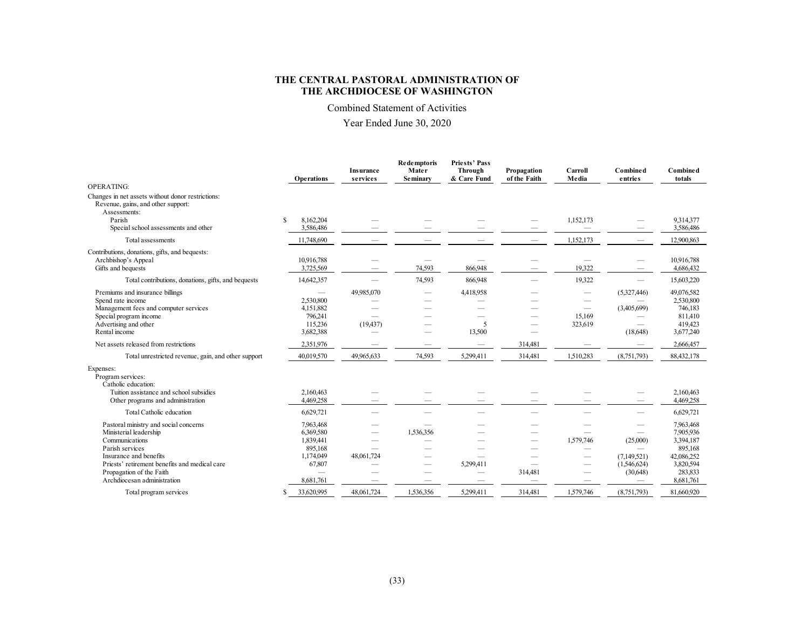Combined Statement of Activities

Year Ended June 30, 2020

|                                                                                                                                                                                                                                            |   | <b>Operations</b>                                                                  | <b>Insurance</b><br>services | <b>Redemptoris</b><br>Mater<br><b>Seminary</b> | <b>Priests' Pass</b><br>Through<br>& Care Fund  | Propagation<br>of the Faith               | Carroll<br>Media  | <b>Combined</b><br>entries                         | <b>Combined</b><br>totals                                                                         |
|--------------------------------------------------------------------------------------------------------------------------------------------------------------------------------------------------------------------------------------------|---|------------------------------------------------------------------------------------|------------------------------|------------------------------------------------|-------------------------------------------------|-------------------------------------------|-------------------|----------------------------------------------------|---------------------------------------------------------------------------------------------------|
| <b>OPERATING:</b>                                                                                                                                                                                                                          |   |                                                                                    |                              |                                                |                                                 |                                           |                   |                                                    |                                                                                                   |
| Changes in net assets without donor restrictions:<br>Revenue, gains, and other support:<br>Assessments:<br>Parish                                                                                                                          | S | 8.162.204                                                                          |                              |                                                |                                                 |                                           | 1,152,173         |                                                    | 9.314,377                                                                                         |
| Special school assessments and other                                                                                                                                                                                                       |   | 3,586,486                                                                          |                              |                                                |                                                 |                                           |                   |                                                    | 3,586,486                                                                                         |
| Total assessments                                                                                                                                                                                                                          |   | 11,748,690                                                                         |                              |                                                |                                                 |                                           | 1,152,173         |                                                    | 12,900,863                                                                                        |
| Contributions, donations, gifts, and bequests:<br>Archbishop's Appeal<br>Gifts and bequests                                                                                                                                                |   | 10,916,788<br>3,725,569                                                            |                              | 74,593                                         | 866,948                                         |                                           | 19.322            |                                                    | 10.916.788<br>4,686,432                                                                           |
| Total contributions, donations, gifts, and bequests                                                                                                                                                                                        |   | 14,642,357                                                                         |                              | 74,593                                         | 866,948                                         |                                           | 19322             |                                                    | 15,603,220                                                                                        |
| Premiums and insurance billings<br>Spend rate income<br>Management fees and computer services<br>Special program income<br>Advertising and other<br>Rental income                                                                          |   | 2,530,800<br>4,151,882<br>796,241<br>115,236<br>3,682,388                          | 49,985,070<br>(19, 437)      | $\sim$                                         | 4,418,958<br>$\overline{\phantom{0}}$<br>13,500 |                                           | 15.169<br>323,619 | (5,327,446)<br>(3,405,699)<br>(18,648)             | 49,076,582<br>2,530,800<br>746,183<br>811,410<br>419,423<br>3,677,240                             |
| Net assets released from restrictions                                                                                                                                                                                                      |   | 2,351,976                                                                          |                              |                                                | $\overline{\phantom{0}}$                        | 314,481                                   |                   |                                                    | 2,666,457                                                                                         |
| Total unrestricted revenue, gain, and other support                                                                                                                                                                                        |   | 40,019,570                                                                         | 49,965,633                   | 74,593                                         | 5,299,411                                       | 314,481                                   | 1,510,283         | (8,751,793)                                        | 88,432,178                                                                                        |
| Expenses:<br>Program services:<br>Catholic education:<br>Tuition assistance and school subsidies<br>Other programs and administration                                                                                                      |   | 2,160,463<br>4,469,258                                                             |                              |                                                |                                                 |                                           |                   |                                                    | 2.160,463<br>4,469,258                                                                            |
| Total Catholic education                                                                                                                                                                                                                   |   | 6,629,721                                                                          |                              |                                                |                                                 |                                           |                   |                                                    | 6,629,721                                                                                         |
| Pastoral ministry and social concerns<br>Ministerial leadership<br>Communications<br>Parish services<br>Insurance and benefits<br>Priests' retirement benefits and medical care<br>Propagation of the Faith<br>Archdiocesan administration |   | 7,963,468<br>6,369,580<br>1,839,441<br>895,168<br>1,174,049<br>67,807<br>8,681,761 | 48,061,724                   | 1,536,356<br>--                                | 5,299,411                                       | --<br>314,481<br>$\overline{\phantom{a}}$ | 1,579,746<br>--   | (25,000)<br>(7,149,521)<br>(1,546,624)<br>(30,648) | 7,963,468<br>7,905,936<br>3,394,187<br>895,168<br>42,086,252<br>3,820,594<br>283,833<br>8,681,761 |
| Total program services                                                                                                                                                                                                                     | S | 33,620,995                                                                         | 48,061,724                   | 1.536.356                                      | 5.299.411                                       | 314.481                                   | 1.579.746         | (8,751,793)                                        | 81,660,920                                                                                        |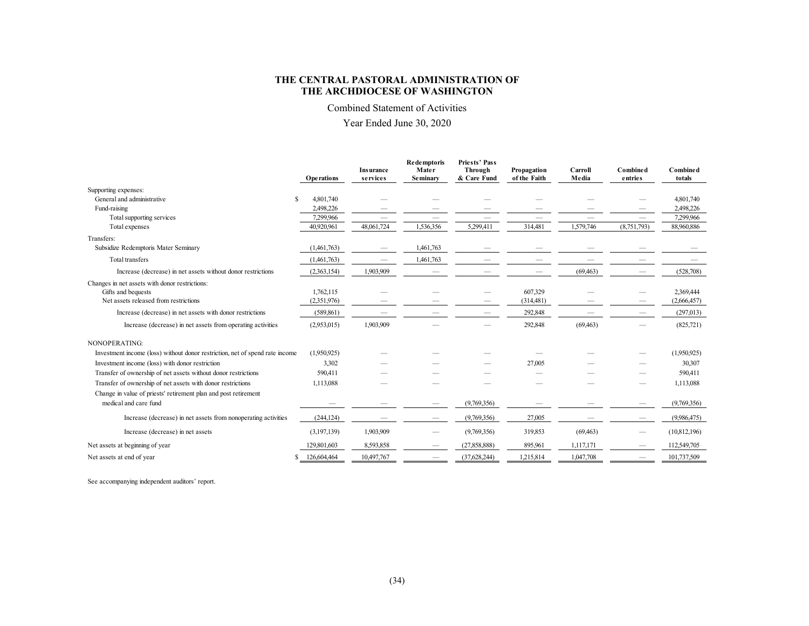Combined Statement of Activities

Year Ended June 30, 2020

|                                                                              | <b>Operations</b> | <b>Insurance</b><br>services | <b>Redemptoris</b><br>Mater<br>Seminary | <b>Priests' Pass</b><br>Through<br>& Care Fund | Propagation<br>of the Faith | Carroll<br>Media | <b>Combined</b><br>entries | <b>Combined</b><br>totals |
|------------------------------------------------------------------------------|-------------------|------------------------------|-----------------------------------------|------------------------------------------------|-----------------------------|------------------|----------------------------|---------------------------|
| Supporting expenses:                                                         |                   |                              |                                         |                                                |                             |                  |                            |                           |
| General and administrative                                                   | S.<br>4,801,740   |                              |                                         |                                                |                             |                  |                            | 4,801,740                 |
| Fund-raising                                                                 | 2,498,226         |                              |                                         |                                                |                             |                  |                            | 2,498,226                 |
| Total supporting services                                                    | 7,299,966         |                              |                                         |                                                |                             |                  |                            | 7,299,966                 |
| Total expenses                                                               | 40,920.961        | 48,061,724                   | 1,536,356                               | 5,299,411                                      | 314,481                     | 1,579,746        | (8,751,793)                | 88,960,886                |
| Transfers:                                                                   |                   |                              |                                         |                                                |                             |                  |                            |                           |
| Subsidize Redemptoris Mater Seminary                                         | (1,461,763)       |                              | 1,461,763                               |                                                |                             |                  |                            |                           |
| Total transfers                                                              | (1,461,763)       |                              | 1,461,763                               |                                                |                             |                  |                            |                           |
| Increase (decrease) in net assets without donor restrictions                 | (2,363,154)       | 1,903,909                    |                                         |                                                |                             | (69, 463)        |                            | (528,708)                 |
| Changes in net assets with donor restrictions:<br>Gifts and bequests         | 1,762,115         |                              |                                         |                                                | 607,329                     |                  |                            | 2,369,444                 |
| Net assets released from restrictions                                        | (2,351,976)       |                              |                                         |                                                | (314, 481)                  |                  |                            | (2,666,457)               |
| Increase (decrease) in net assets with donor restrictions                    | (589, 861)        |                              |                                         |                                                | 292,848                     |                  |                            | (297,013)                 |
| Increase (decrease) in net assets from operating activities                  | (2,953,015)       | 1,903,909                    |                                         |                                                | 292,848                     | (69, 463)        |                            | (825,721)                 |
| NONOPERATING:                                                                |                   |                              |                                         |                                                |                             |                  |                            |                           |
| Investment income (loss) without donor restriction, net of spend rate income | (1,950,925)       |                              |                                         |                                                |                             |                  |                            | (1,950,925)               |
| Investment income (loss) with donor restriction                              | 3,302             |                              |                                         |                                                | 27,005                      |                  |                            | 30,307                    |
| Transfer of ownership of net assets without donor restrictions               | 590,411           |                              |                                         |                                                |                             |                  |                            | 590,411                   |
| Transfer of ownership of net assets with donor restrictions                  | 1,113,088         |                              |                                         |                                                |                             |                  |                            | 1,113,088                 |
| Change in value of priests' retirement plan and post retirement              |                   |                              |                                         |                                                |                             |                  |                            |                           |
| medical and care fund                                                        |                   |                              |                                         | (9,769,356)                                    |                             |                  |                            | (9,769,356)               |
| Increase (decrease) in net assets from nonoperating activities               | (244, 124)        |                              |                                         | (9,769,356)                                    | 27,005                      |                  |                            | (9.986, 475)              |
| Increase (decrease) in net assets                                            | (3,197,139)       | 1,903,909                    |                                         | (9,769,356)                                    | 319,853                     | (69, 463)        |                            | (10,812,196)              |
| Net assets at beginning of year                                              | 129,801,603       | 8,593,858                    |                                         | (27, 858, 888)                                 | 895,961                     | 1,117,171        |                            | 112,549,705               |
| Net assets at end of year                                                    | 126,604,464<br>S  | 10,497,767                   |                                         | (37,628,244)                                   | 1,215,814                   | 1,047,708        |                            | 101,737,509               |

See accompanying independent auditors' report.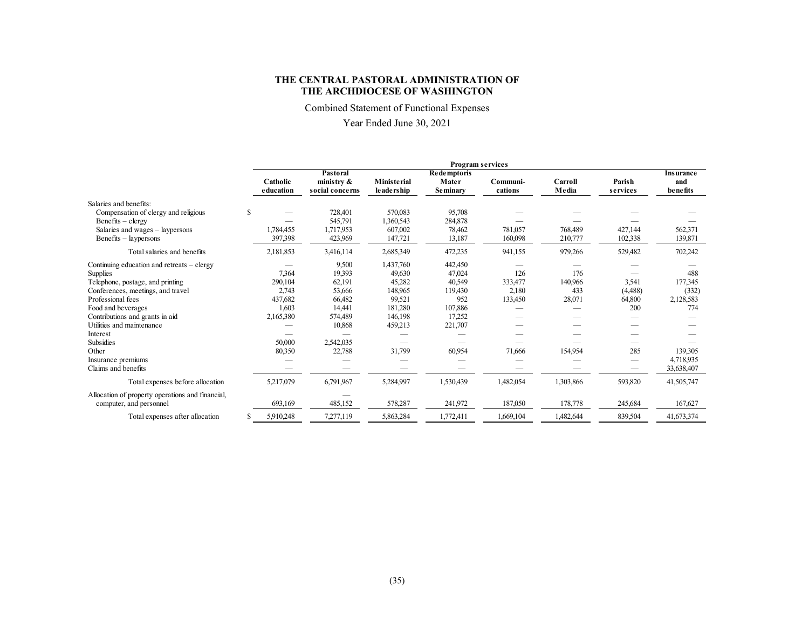Combined Statement of Functional Expenses

# Year Ended June 30, 2021

|                                                                             |   |                       |                                              |                             | <b>Program services</b>                 |                     |                    |                           |                                      |
|-----------------------------------------------------------------------------|---|-----------------------|----------------------------------------------|-----------------------------|-----------------------------------------|---------------------|--------------------|---------------------------|--------------------------------------|
|                                                                             |   | Catholic<br>education | Pastoral<br>ministry $\&$<br>social concerns | Ministerial<br>le ade rship | <b>Redemptoris</b><br>Mater<br>Seminary | Communi-<br>cations | Carroll<br>Media   | <b>Parish</b><br>services | <b>Insurance</b><br>and<br>be nefits |
| Salaries and benefits:                                                      |   |                       |                                              |                             |                                         |                     |                    |                           |                                      |
| Compensation of clergy and religious<br>$Benefits - clergy$                 | S |                       | 728,401<br>545,791                           | 570,083<br>1,360,543        | 95,708<br>284,878                       |                     |                    |                           |                                      |
| Salaries and wages - laypersons<br>Benefits – laypersons                    |   | 1,784,455<br>397.398  | 1,717,953<br>423,969                         | 607,002<br>147,721          | 78,462<br>13,187                        | 781,057<br>160,098  | 768,489<br>210,777 | 427,144<br>102,338        | 562,371<br>139,871                   |
| Total salaries and benefits                                                 |   | 2,181,853             | 3,416,114                                    | 2,685,349                   | 472,235                                 | 941,155             | 979,266            | 529,482                   | 702,242                              |
| Continuing education and retreats - clergy                                  |   |                       | 9,500                                        | 1,437,760                   | 442,450                                 |                     |                    |                           |                                      |
| Supplies                                                                    |   | 7.364                 | 19,393                                       | 49,630                      | 47,024                                  | 126                 | 176                | $\overline{\phantom{a}}$  | 488                                  |
| Telephone, postage, and printing                                            |   | 290,104               | 62,191                                       | 45,282                      | 40,549                                  | 333,477             | 140,966            | 3,541                     | 177,345                              |
| Conferences, meetings, and travel                                           |   | 2,743                 | 53,666                                       | 148,965                     | 119,430                                 | 2,180               | 433                | (4,488)                   | (332)                                |
| Professional fees                                                           |   | 437,682               | 66,482                                       | 99,521                      | 952                                     | 133,450             | 28,071             | 64,800                    | 2,128,583                            |
| Food and beverages                                                          |   | 1,603                 | 14,441                                       | 181,280                     | 107,886                                 |                     |                    | 200                       | 774                                  |
| Contributions and grants in aid                                             |   | 2,165,380             | 574,489                                      | 146,198                     | 17,252                                  |                     |                    |                           |                                      |
| Utilities and maintenance                                                   |   |                       | 10,868                                       | 459,213                     | 221,707                                 |                     |                    |                           |                                      |
| Interest                                                                    |   |                       |                                              |                             |                                         |                     |                    |                           |                                      |
| Subsidies                                                                   |   | 50,000                | 2,542,035                                    |                             |                                         |                     |                    | __                        |                                      |
| Other                                                                       |   | 80,350                | 22,788                                       | 31,799                      | 60,954                                  | 71,666              | 154,954            | 285                       | 139,305                              |
| Insurance premiums                                                          |   |                       |                                              |                             |                                         |                     |                    |                           | 4,718,935                            |
| Claims and benefits                                                         |   |                       |                                              |                             |                                         |                     |                    |                           | 33,638,407                           |
| Total expenses before allocation                                            |   | 5,217,079             | 6,791,967                                    | 5,284,997                   | 1,530,439                               | 1,482,054           | 1,303,866          | 593,820                   | 41,505,747                           |
| Allocation of property operations and financial,<br>computer, and personnel |   | 693,169               | 485,152                                      | 578,287                     | 241,972                                 | 187,050             | 178,778            | 245,684                   | 167,627                              |
| Total expenses after allocation                                             |   | 5,910,248             | 7,277,119                                    | 5,863,284                   | 1,772,411                               | 1,669,104           | 1,482,644          | 839,504                   | 41,673,374                           |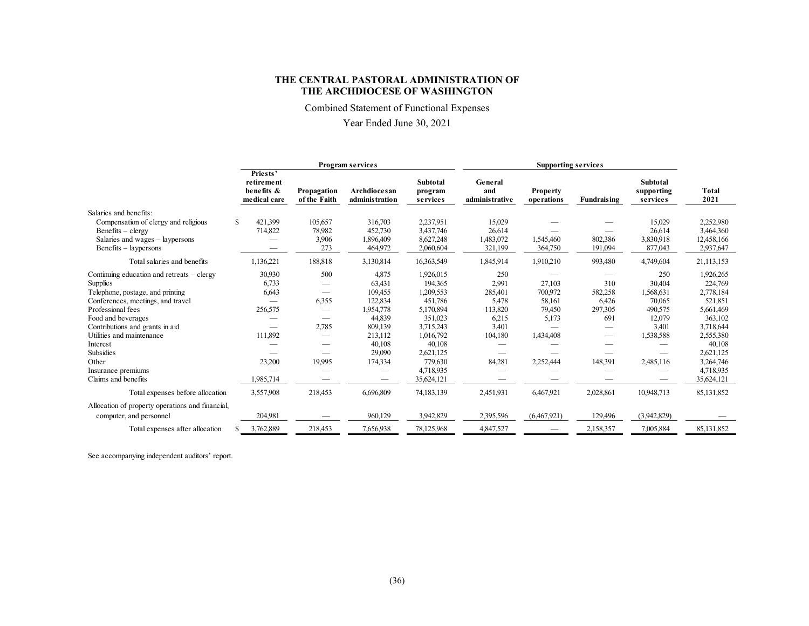Combined Statement of Functional Expenses

Year Ended June 30, 2021

|                                                  |                                                      |                             | Program services               |                                        |                                  |                               |                    |                                           |               |
|--------------------------------------------------|------------------------------------------------------|-----------------------------|--------------------------------|----------------------------------------|----------------------------------|-------------------------------|--------------------|-------------------------------------------|---------------|
|                                                  | Priests'<br>retirement<br>benefits &<br>medical care | Propagation<br>of the Faith | Archdiocesan<br>administration | <b>Subtotal</b><br>program<br>services | General<br>and<br>administrative | <b>Property</b><br>operations | <b>Fundraising</b> | <b>Subtotal</b><br>supporting<br>services | Total<br>2021 |
| Salaries and benefits:                           |                                                      |                             |                                |                                        |                                  |                               |                    |                                           |               |
| Compensation of clergy and religious             | \$<br>421,399                                        | 105,657                     | 316,703                        | 2,237,951                              | 15,029                           |                               |                    | 15,029                                    | 2,252,980     |
| $Benefits - clergy$                              | 714,822                                              | 78.982                      | 452,730                        | 3,437,746                              | 26,614                           |                               |                    | 26,614                                    | 3,464,360     |
| Salaries and wages – laypersons                  |                                                      | 3,906                       | 1,896,409                      | 8,627,248                              | 1,483,072                        | 1,545,460                     | 802,386            | 3,830,918                                 | 12,458,166    |
| Benefits – laypersons                            |                                                      | 273                         | 464,972                        | 2,060,604                              | 321,199                          | 364,750                       | 191,094            | 877,043                                   | 2,937,647     |
| Total salaries and benefits                      | 1,136,221                                            | 188,818                     | 3,130,814                      | 16,363,549                             | 1,845,914                        | 1,910,210                     | 993,480            | 4,749,604                                 | 21,113,153    |
| Continuing education and retreats $-$ clergy     | 30.930                                               | 500                         | 4,875                          | 1,926,015                              | 250                              |                               |                    | 250                                       | 1,926,265     |
| <b>Supplies</b>                                  | 6,733                                                |                             | 63,431                         | 194.365                                | 2,991                            | 27,103                        | 310                | 30,404                                    | 224,769       |
| Telephone, postage, and printing                 | 6,643                                                |                             | 109,455                        | 1,209,553                              | 285,401                          | 700,972                       | 582,258            | 1,568,631                                 | 2,778,184     |
| Conferences, meetings, and travel                |                                                      | 6,355                       | 122,834                        | 451,786                                | 5,478                            | 58,161                        | 6,426              | 70,065                                    | 521,851       |
| Professional fees                                | 256,575                                              | $\overline{\phantom{m}}$    | 1,954,778                      | 5,170,894                              | 113,820                          | 79,450                        | 297,305            | 490,575                                   | 5,661,469     |
| Food and beverages                               |                                                      |                             | 44,839                         | 351,023                                | 6,215                            | 5,173                         | 691                | 12,079                                    | 363,102       |
| Contributions and grants in aid                  |                                                      | 2,785                       | 809,139                        | 3,715,243                              | 3,401                            |                               |                    | 3,401                                     | 3,718,644     |
| Utilities and maintenance                        | 111,892                                              |                             | 213,112                        | 1,016,792                              | 104,180                          | 1,434,408                     |                    | 1,538,588                                 | 2,555,380     |
| Interest                                         |                                                      |                             | 40,108                         | 40,108                                 |                                  |                               |                    |                                           | 40,108        |
| Subsidies                                        |                                                      |                             | 29,090                         | 2,621,125                              |                                  |                               | --                 | $\overline{\phantom{0}}$                  | 2,621,125     |
| Other                                            | 23,200                                               | 19.995                      | 174,334                        | 779,630                                | 84,281                           | 2,252,444                     | 148,391            | 2,485,116                                 | 3,264,746     |
| Insurance premiums                               |                                                      |                             |                                | 4,718,935                              |                                  |                               |                    |                                           | 4,718,935     |
| Claims and benefits                              | .985,714                                             |                             |                                | 35,624,121                             |                                  |                               |                    |                                           | 35,624,121    |
| Total expenses before allocation                 | 3,557,908                                            | 218,453                     | 6,696,809                      | 74,183,139                             | 2,451,931                        | 6,467,921                     | 2,028,861          | 10,948,713                                | 85,131,852    |
| Allocation of property operations and financial, |                                                      |                             |                                |                                        |                                  |                               |                    |                                           |               |
| computer, and personnel                          | 204,981                                              |                             | 960,129                        | 3,942,829                              | 2,395,596                        | (6,467,921)                   | 129,496            | (3,942,829)                               |               |
| Total expenses after allocation                  | 3,762,889                                            | 218,453                     | 7,656,938                      | 78,125,968                             | 4,847,527                        |                               | 2,158,357          | 7,005,884                                 | 85,131,852    |

See accompanying independent auditors' report.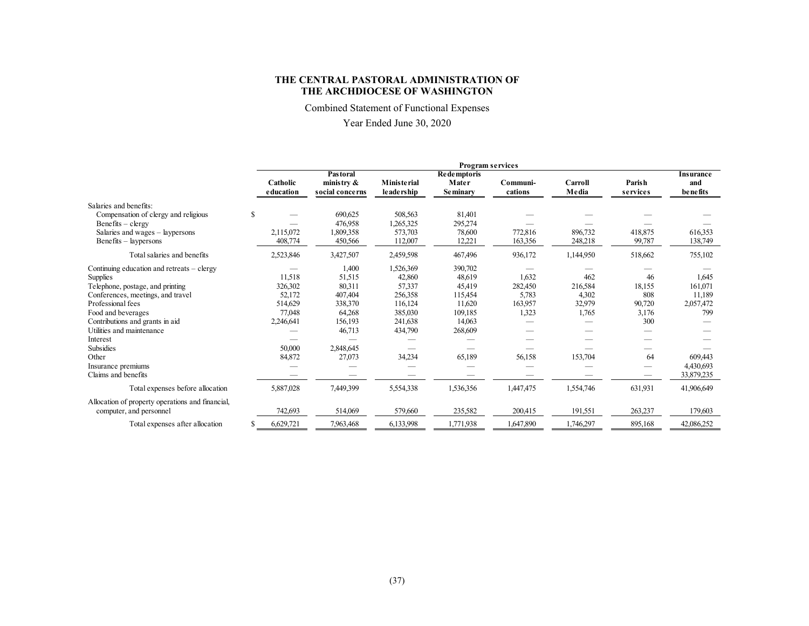Combined Statement of Functional Expenses

# Year Ended June 30, 2020

|                                                                             | <b>Program services</b> |                       |                                              |                                    |                                         |                     |                  |                    |                                              |  |
|-----------------------------------------------------------------------------|-------------------------|-----------------------|----------------------------------------------|------------------------------------|-----------------------------------------|---------------------|------------------|--------------------|----------------------------------------------|--|
|                                                                             |                         | Catholic<br>education | Pastoral<br>ministry $\&$<br>social concerns | <b>Ministerial</b><br>le ade rship | Redemptoris<br>Mater<br><b>Seminary</b> | Communi-<br>cations | Carroll<br>Media | Parish<br>services | <b>Insurance</b><br>and<br><b>be</b> ne fits |  |
| Salaries and benefits:                                                      |                         |                       |                                              |                                    |                                         |                     |                  |                    |                                              |  |
| Compensation of clergy and religious                                        | <sup>\$</sup>           |                       | 690,625                                      | 508,563                            | 81,401                                  |                     |                  |                    |                                              |  |
| $Benefits - clergy$                                                         |                         |                       | 476,958                                      | 1,265,325                          | 295,274                                 |                     |                  |                    |                                              |  |
| Salaries and wages - laypersons                                             |                         | 2,115,072             | 1,809,358                                    | 573,703                            | 78,600                                  | 772,816             | 896,732          | 418.875            | 616,353                                      |  |
| Benefits – laypersons                                                       |                         | 408,774               | 450,566                                      | 112,007                            | 12,221                                  | 163,356             | 248,218          | 99,787             | 138,749                                      |  |
| Total salaries and benefits                                                 |                         | 2,523,846             | 3,427,507                                    | 2,459,598                          | 467,496                                 | 936,172             | 1,144,950        | 518,662            | 755,102                                      |  |
| Continuing education and retreats $-$ clergy                                |                         |                       | 1,400                                        | 1,526,369                          | 390,702                                 |                     |                  |                    |                                              |  |
| Supplies                                                                    |                         | 11.518                | 51,515                                       | 42,860                             | 48,619                                  | 1.632               | 462              | 46                 | 1.645                                        |  |
| Telephone, postage, and printing                                            |                         | 326,302               | 80,311                                       | 57,337                             | 45,419                                  | 282,450             | 216,584          | 18,155             | 161,071                                      |  |
| Conferences, meetings, and travel                                           |                         | 52,172                | 407,404                                      | 256,358                            | 115,454                                 | 5,783               | 4,302            | 808                | 11,189                                       |  |
| Professional fees                                                           |                         | 514,629               | 338,370                                      | 116,124                            | 11.620                                  | 163,957             | 32,979           | 90,720             | 2,057,472                                    |  |
| Food and beverages                                                          |                         | 77,048                | 64,268                                       | 385,030                            | 109.185                                 | 1,323               | 1,765            | 3,176              | 799                                          |  |
| Contributions and grants in aid                                             |                         | 2,246,641             | 156,193                                      | 241,638                            | 14,063                                  |                     |                  | 300                |                                              |  |
| Utilities and maintenance                                                   |                         |                       | 46,713                                       | 434,790                            | 268,609                                 |                     |                  |                    |                                              |  |
| Interest                                                                    |                         |                       |                                              |                                    |                                         |                     |                  |                    |                                              |  |
| Subsidies                                                                   |                         | 50,000                | 2,848,645                                    |                                    |                                         |                     |                  |                    |                                              |  |
| Other                                                                       |                         | 84,872                | 27,073                                       | 34,234                             | 65,189                                  | 56,158              | 153,704          | 64                 | 609,443                                      |  |
| Insurance premiums                                                          |                         |                       |                                              |                                    |                                         |                     |                  |                    | 4,430,693                                    |  |
| Claims and benefits                                                         |                         |                       |                                              |                                    |                                         |                     |                  |                    | 33,879,235                                   |  |
| Total expenses before allocation                                            |                         | 5,887,028             | 7,449,399                                    | 5,554,338                          | 1,536,356                               | 1,447,475           | 1,554,746        | 631,931            | 41,906,649                                   |  |
| Allocation of property operations and financial,<br>computer, and personnel |                         | 742,693               | 514,069                                      | 579,660                            | 235,582                                 | 200,415             | 191,551          | 263,237            | 179,603                                      |  |
|                                                                             |                         |                       |                                              |                                    |                                         |                     |                  |                    |                                              |  |
| Total expenses after allocation                                             |                         | 6,629,721             | 7,963,468                                    | 6,133,998                          | 1,771,938                               | 1,647,890           | 1,746,297        | 895,168            | 42,086,252                                   |  |